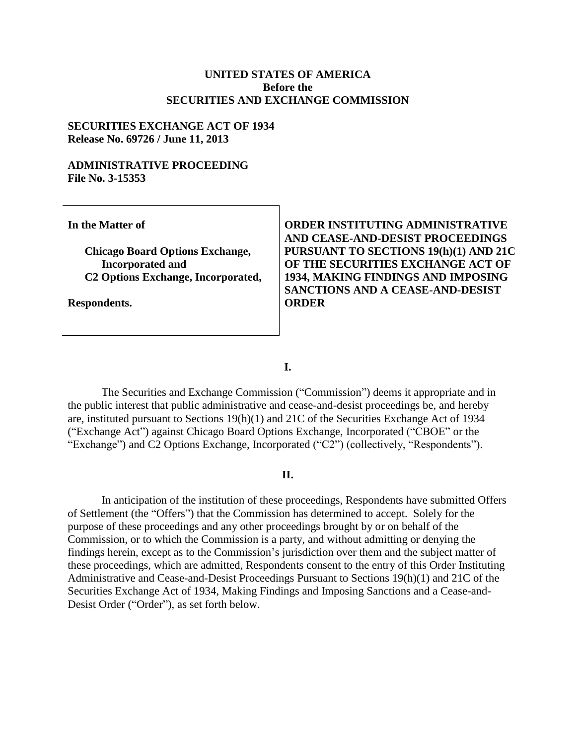#### **UNITED STATES OF AMERICA Before the SECURITIES AND EXCHANGE COMMISSION**

#### **SECURITIES EXCHANGE ACT OF 1934 Release No. 69726 / June 11, 2013**

#### **ADMINISTRATIVE PROCEEDING File No. 3-15353**

**In the Matter of**

**Chicago Board Options Exchange, Incorporated and C2 Options Exchange, Incorporated,**

**Respondents.**

**ORDER INSTITUTING ADMINISTRATIVE AND CEASE-AND-DESIST PROCEEDINGS PURSUANT TO SECTIONS 19(h)(1) AND 21C OF THE SECURITIES EXCHANGE ACT OF 1934, MAKING FINDINGS AND IMPOSING SANCTIONS AND A CEASE-AND-DESIST ORDER**

**I.**

The Securities and Exchange Commission ("Commission") deems it appropriate and in the public interest that public administrative and cease-and-desist proceedings be, and hereby are, instituted pursuant to Sections 19(h)(1) and 21C of the Securities Exchange Act of 1934 ("Exchange Act") against Chicago Board Options Exchange, Incorporated ("CBOE" or the "Exchange") and C2 Options Exchange, Incorporated ("C2") (collectively, "Respondents").

#### **II.**

In anticipation of the institution of these proceedings, Respondents have submitted Offers of Settlement (the "Offers") that the Commission has determined to accept. Solely for the purpose of these proceedings and any other proceedings brought by or on behalf of the Commission, or to which the Commission is a party, and without admitting or denying the findings herein, except as to the Commission's jurisdiction over them and the subject matter of these proceedings, which are admitted, Respondents consent to the entry of this Order Instituting Administrative and Cease-and-Desist Proceedings Pursuant to Sections 19(h)(1) and 21C of the Securities Exchange Act of 1934, Making Findings and Imposing Sanctions and a Cease-and-Desist Order ("Order"), as set forth below.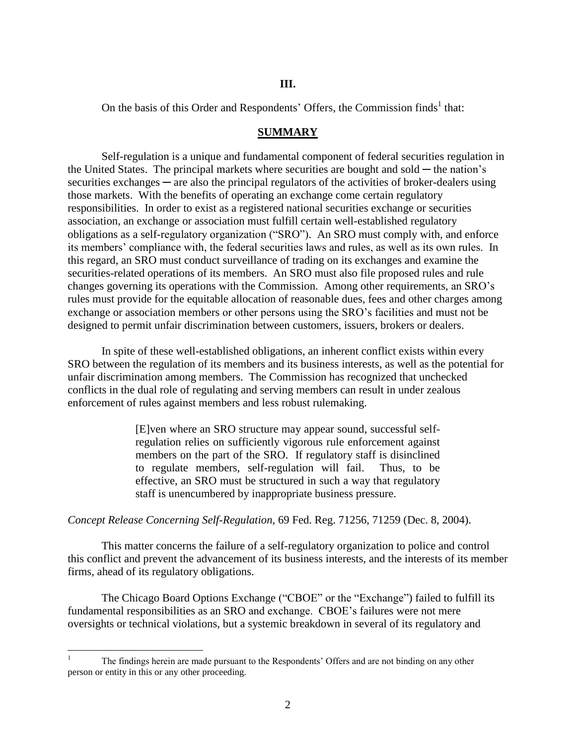#### **III.**

On the basis of this Order and Respondents' Offers, the Commission finds<sup>1</sup> that:

#### **SUMMARY**

Self-regulation is a unique and fundamental component of federal securities regulation in the United States. The principal markets where securities are bought and sold  $-$  the nation's securities exchanges  $-$  are also the principal regulators of the activities of broker-dealers using those markets. With the benefits of operating an exchange come certain regulatory responsibilities. In order to exist as a registered national securities exchange or securities association, an exchange or association must fulfill certain well-established regulatory obligations as a self-regulatory organization ("SRO"). An SRO must comply with, and enforce its members' compliance with, the federal securities laws and rules, as well as its own rules. In this regard, an SRO must conduct surveillance of trading on its exchanges and examine the securities-related operations of its members. An SRO must also file proposed rules and rule changes governing its operations with the Commission. Among other requirements, an SRO's rules must provide for the equitable allocation of reasonable dues, fees and other charges among exchange or association members or other persons using the SRO's facilities and must not be designed to permit unfair discrimination between customers, issuers, brokers or dealers.

In spite of these well-established obligations, an inherent conflict exists within every SRO between the regulation of its members and its business interests, as well as the potential for unfair discrimination among members. The Commission has recognized that unchecked conflicts in the dual role of regulating and serving members can result in under zealous enforcement of rules against members and less robust rulemaking.

> [E]ven where an SRO structure may appear sound, successful selfregulation relies on sufficiently vigorous rule enforcement against members on the part of the SRO. If regulatory staff is disinclined to regulate members, self-regulation will fail. Thus, to be effective, an SRO must be structured in such a way that regulatory staff is unencumbered by inappropriate business pressure.

#### *Concept Release Concerning Self-Regulation*, 69 Fed. Reg. 71256, 71259 (Dec. 8, 2004).

This matter concerns the failure of a self-regulatory organization to police and control this conflict and prevent the advancement of its business interests, and the interests of its member firms, ahead of its regulatory obligations.

The Chicago Board Options Exchange ("CBOE" or the "Exchange") failed to fulfill its fundamental responsibilities as an SRO and exchange. CBOE's failures were not mere oversights or technical violations, but a systemic breakdown in several of its regulatory and

 $\mathbf{1}$ <sup>1</sup> The findings herein are made pursuant to the Respondents' Offers and are not binding on any other person or entity in this or any other proceeding.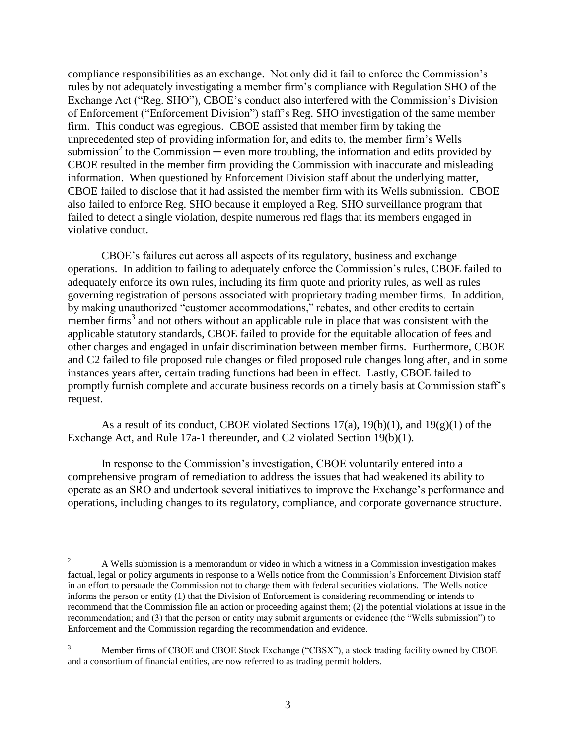compliance responsibilities as an exchange. Not only did it fail to enforce the Commission's rules by not adequately investigating a member firm's compliance with Regulation SHO of the Exchange Act ("Reg. SHO"), CBOE's conduct also interfered with the Commission's Division of Enforcement ("Enforcement Division") staff's Reg. SHO investigation of the same member firm. This conduct was egregious. CBOE assisted that member firm by taking the unprecedented step of providing information for, and edits to, the member firm's Wells submission<sup>2</sup> to the Commission — even more troubling, the information and edits provided by CBOE resulted in the member firm providing the Commission with inaccurate and misleading information. When questioned by Enforcement Division staff about the underlying matter, CBOE failed to disclose that it had assisted the member firm with its Wells submission. CBOE also failed to enforce Reg. SHO because it employed a Reg. SHO surveillance program that failed to detect a single violation, despite numerous red flags that its members engaged in violative conduct.

CBOE's failures cut across all aspects of its regulatory, business and exchange operations. In addition to failing to adequately enforce the Commission's rules, CBOE failed to adequately enforce its own rules, including its firm quote and priority rules, as well as rules governing registration of persons associated with proprietary trading member firms. In addition, by making unauthorized "customer accommodations," rebates, and other credits to certain member firms<sup>3</sup> and not others without an applicable rule in place that was consistent with the applicable statutory standards, CBOE failed to provide for the equitable allocation of fees and other charges and engaged in unfair discrimination between member firms. Furthermore, CBOE and C2 failed to file proposed rule changes or filed proposed rule changes long after, and in some instances years after, certain trading functions had been in effect. Lastly, CBOE failed to promptly furnish complete and accurate business records on a timely basis at Commission staff's request.

As a result of its conduct, CBOE violated Sections  $17(a)$ ,  $19(b)(1)$ , and  $19(g)(1)$  of the Exchange Act, and Rule 17a-1 thereunder, and C2 violated Section 19(b)(1).

In response to the Commission's investigation, CBOE voluntarily entered into a comprehensive program of remediation to address the issues that had weakened its ability to operate as an SRO and undertook several initiatives to improve the Exchange's performance and operations, including changes to its regulatory, compliance, and corporate governance structure.

 $\overline{a}$ 

<sup>2</sup> A Wells submission is a memorandum or video in which a witness in a Commission investigation makes factual, legal or policy arguments in response to a Wells notice from the Commission's Enforcement Division staff in an effort to persuade the Commission not to charge them with federal securities violations. The Wells notice informs the person or entity (1) that the Division of Enforcement is considering recommending or intends to recommend that the Commission file an action or proceeding against them; (2) the potential violations at issue in the recommendation; and (3) that the person or entity may submit arguments or evidence (the "Wells submission") to Enforcement and the Commission regarding the recommendation and evidence.

<sup>3</sup> Member firms of CBOE and CBOE Stock Exchange ("CBSX"), a stock trading facility owned by CBOE and a consortium of financial entities, are now referred to as trading permit holders.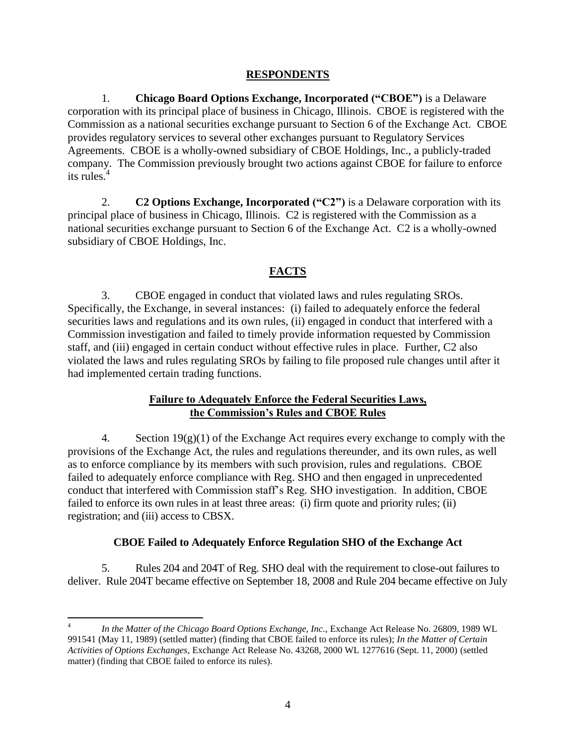### **RESPONDENTS**

1. **Chicago Board Options Exchange, Incorporated ("CBOE")** is a Delaware corporation with its principal place of business in Chicago, Illinois. CBOE is registered with the Commission as a national securities exchange pursuant to Section 6 of the Exchange Act. CBOE provides regulatory services to several other exchanges pursuant to Regulatory Services Agreements. CBOE is a wholly-owned subsidiary of CBOE Holdings, Inc., a publicly-traded company. The Commission previously brought two actions against CBOE for failure to enforce its rules.<sup>4</sup>

2. **C2 Options Exchange, Incorporated ("C2")** is a Delaware corporation with its principal place of business in Chicago, Illinois. C2 is registered with the Commission as a national securities exchange pursuant to Section 6 of the Exchange Act. C2 is a wholly-owned subsidiary of CBOE Holdings, Inc.

# **FACTS**

3. CBOE engaged in conduct that violated laws and rules regulating SROs. Specifically, the Exchange, in several instances: (i) failed to adequately enforce the federal securities laws and regulations and its own rules, (ii) engaged in conduct that interfered with a Commission investigation and failed to timely provide information requested by Commission staff, and (iii) engaged in certain conduct without effective rules in place. Further, C2 also violated the laws and rules regulating SROs by failing to file proposed rule changes until after it had implemented certain trading functions.

### **Failure to Adequately Enforce the Federal Securities Laws, the Commission's Rules and CBOE Rules**

4. Section  $19(g)(1)$  of the Exchange Act requires every exchange to comply with the provisions of the Exchange Act, the rules and regulations thereunder, and its own rules, as well as to enforce compliance by its members with such provision, rules and regulations. CBOE failed to adequately enforce compliance with Reg. SHO and then engaged in unprecedented conduct that interfered with Commission staff's Reg. SHO investigation. In addition, CBOE failed to enforce its own rules in at least three areas: (i) firm quote and priority rules; (ii) registration; and (iii) access to CBSX.

# **CBOE Failed to Adequately Enforce Regulation SHO of the Exchange Act**

5. Rules 204 and 204T of Reg. SHO deal with the requirement to close-out failures to deliver. Rule 204T became effective on September 18, 2008 and Rule 204 became effective on July

 $\overline{a}$ 4 *In the Matter of the Chicago Board Options Exchange, Inc.,* Exchange Act Release No. 26809, 1989 WL 991541 (May 11, 1989) (settled matter) (finding that CBOE failed to enforce its rules); *In the Matter of Certain Activities of Options Exchanges*, Exchange Act Release No. 43268, 2000 WL 1277616 (Sept. 11, 2000) (settled matter) (finding that CBOE failed to enforce its rules).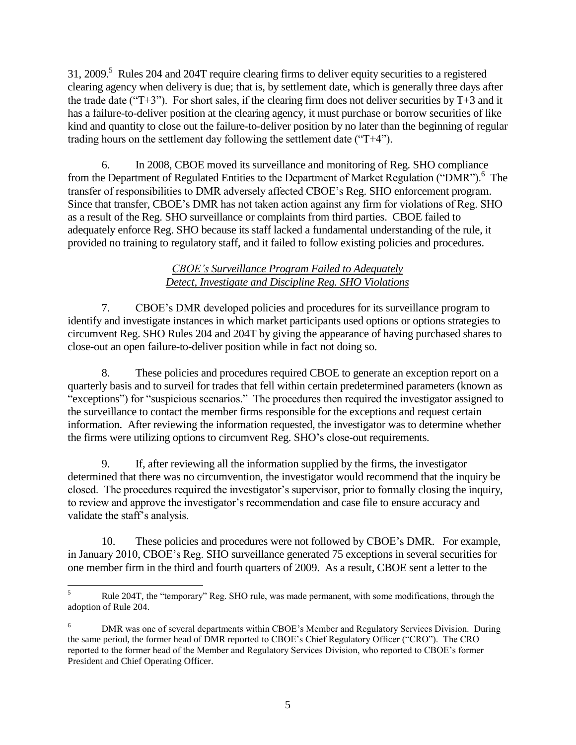31, 2009.<sup>5</sup> Rules 204 and 204T require clearing firms to deliver equity securities to a registered clearing agency when delivery is due; that is, by settlement date, which is generally three days after the trade date ("T+3"). For short sales, if the clearing firm does not deliver securities by  $T+3$  and it has a failure-to-deliver position at the clearing agency, it must purchase or borrow securities of like kind and quantity to close out the failure-to-deliver position by no later than the beginning of regular trading hours on the settlement day following the settlement date ("T+4").

6. In 2008, CBOE moved its surveillance and monitoring of Reg. SHO compliance from the Department of Regulated Entities to the Department of Market Regulation ("DMR").<sup>6</sup> The transfer of responsibilities to DMR adversely affected CBOE's Reg. SHO enforcement program. Since that transfer, CBOE's DMR has not taken action against any firm for violations of Reg. SHO as a result of the Reg. SHO surveillance or complaints from third parties. CBOE failed to adequately enforce Reg. SHO because its staff lacked a fundamental understanding of the rule, it provided no training to regulatory staff, and it failed to follow existing policies and procedures.

# *CBOE's Surveillance Program Failed to Adequately Detect, Investigate and Discipline Reg. SHO Violations*

7. CBOE's DMR developed policies and procedures for its surveillance program to identify and investigate instances in which market participants used options or options strategies to circumvent Reg. SHO Rules 204 and 204T by giving the appearance of having purchased shares to close-out an open failure-to-deliver position while in fact not doing so.

8. These policies and procedures required CBOE to generate an exception report on a quarterly basis and to surveil for trades that fell within certain predetermined parameters (known as "exceptions") for "suspicious scenarios." The procedures then required the investigator assigned to the surveillance to contact the member firms responsible for the exceptions and request certain information. After reviewing the information requested, the investigator was to determine whether the firms were utilizing options to circumvent Reg. SHO's close-out requirements.

9. If, after reviewing all the information supplied by the firms, the investigator determined that there was no circumvention, the investigator would recommend that the inquiry be closed. The procedures required the investigator's supervisor, prior to formally closing the inquiry, to review and approve the investigator's recommendation and case file to ensure accuracy and validate the staff's analysis.

10. These policies and procedures were not followed by CBOE's DMR. For example, in January 2010, CBOE's Reg. SHO surveillance generated 75 exceptions in several securities for one member firm in the third and fourth quarters of 2009. As a result, CBOE sent a letter to the

 $\overline{a}$ <sup>5</sup> Rule 204T, the "temporary" Reg. SHO rule, was made permanent, with some modifications, through the adoption of Rule 204.

<sup>6</sup> DMR was one of several departments within CBOE's Member and Regulatory Services Division. During the same period, the former head of DMR reported to CBOE's Chief Regulatory Officer ("CRO"). The CRO reported to the former head of the Member and Regulatory Services Division, who reported to CBOE's former President and Chief Operating Officer.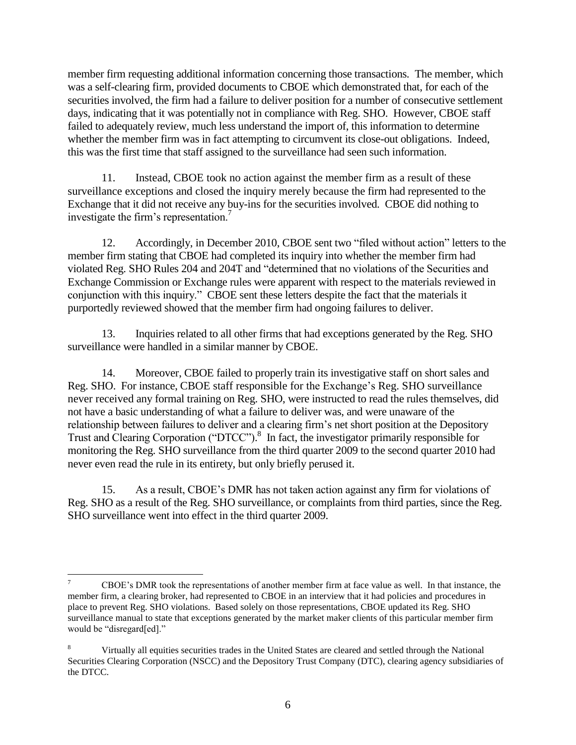member firm requesting additional information concerning those transactions. The member, which was a self-clearing firm, provided documents to CBOE which demonstrated that, for each of the securities involved, the firm had a failure to deliver position for a number of consecutive settlement days, indicating that it was potentially not in compliance with Reg. SHO. However, CBOE staff failed to adequately review, much less understand the import of, this information to determine whether the member firm was in fact attempting to circumvent its close-out obligations. Indeed, this was the first time that staff assigned to the surveillance had seen such information.

11. Instead, CBOE took no action against the member firm as a result of these surveillance exceptions and closed the inquiry merely because the firm had represented to the Exchange that it did not receive any buy-ins for the securities involved. CBOE did nothing to investigate the firm's representation.<sup>7</sup>

12. Accordingly, in December 2010, CBOE sent two "filed without action" letters to the member firm stating that CBOE had completed its inquiry into whether the member firm had violated Reg. SHO Rules 204 and 204T and "determined that no violations of the Securities and Exchange Commission or Exchange rules were apparent with respect to the materials reviewed in conjunction with this inquiry." CBOE sent these letters despite the fact that the materials it purportedly reviewed showed that the member firm had ongoing failures to deliver.

13. Inquiries related to all other firms that had exceptions generated by the Reg. SHO surveillance were handled in a similar manner by CBOE.

14. Moreover, CBOE failed to properly train its investigative staff on short sales and Reg. SHO. For instance, CBOE staff responsible for the Exchange's Reg. SHO surveillance never received any formal training on Reg. SHO, were instructed to read the rules themselves, did not have a basic understanding of what a failure to deliver was, and were unaware of the relationship between failures to deliver and a clearing firm's net short position at the Depository Trust and Clearing Corporation ("DTCC"). 8 In fact, the investigator primarily responsible for monitoring the Reg. SHO surveillance from the third quarter 2009 to the second quarter 2010 had never even read the rule in its entirety, but only briefly perused it.

15. As a result, CBOE's DMR has not taken action against any firm for violations of Reg. SHO as a result of the Reg. SHO surveillance, or complaints from third parties, since the Reg. SHO surveillance went into effect in the third quarter 2009.

 $\overline{a}$ 

<sup>7</sup> CBOE's DMR took the representations of another member firm at face value as well. In that instance, the member firm, a clearing broker, had represented to CBOE in an interview that it had policies and procedures in place to prevent Reg. SHO violations. Based solely on those representations, CBOE updated its Reg. SHO surveillance manual to state that exceptions generated by the market maker clients of this particular member firm would be "disregard[ed]."

<sup>8</sup> Virtually all equities securities trades in the United States are cleared and settled through the National Securities Clearing Corporation (NSCC) and the Depository Trust Company (DTC), clearing agency subsidiaries of the DTCC.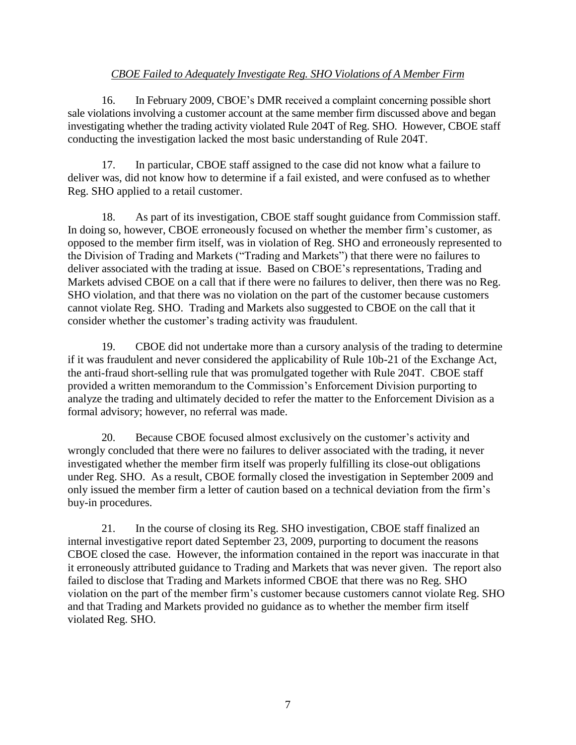# *CBOE Failed to Adequately Investigate Reg. SHO Violations of A Member Firm*

16. In February 2009, CBOE's DMR received a complaint concerning possible short sale violations involving a customer account at the same member firm discussed above and began investigating whether the trading activity violated Rule 204T of Reg. SHO. However, CBOE staff conducting the investigation lacked the most basic understanding of Rule 204T.

17. In particular, CBOE staff assigned to the case did not know what a failure to deliver was, did not know how to determine if a fail existed, and were confused as to whether Reg. SHO applied to a retail customer.

18. As part of its investigation, CBOE staff sought guidance from Commission staff. In doing so, however, CBOE erroneously focused on whether the member firm's customer, as opposed to the member firm itself, was in violation of Reg. SHO and erroneously represented to the Division of Trading and Markets ("Trading and Markets") that there were no failures to deliver associated with the trading at issue. Based on CBOE's representations, Trading and Markets advised CBOE on a call that if there were no failures to deliver, then there was no Reg. SHO violation, and that there was no violation on the part of the customer because customers cannot violate Reg. SHO. Trading and Markets also suggested to CBOE on the call that it consider whether the customer's trading activity was fraudulent.

19. CBOE did not undertake more than a cursory analysis of the trading to determine if it was fraudulent and never considered the applicability of Rule 10b-21 of the Exchange Act, the anti-fraud short-selling rule that was promulgated together with Rule 204T. CBOE staff provided a written memorandum to the Commission's Enforcement Division purporting to analyze the trading and ultimately decided to refer the matter to the Enforcement Division as a formal advisory; however, no referral was made.

20. Because CBOE focused almost exclusively on the customer's activity and wrongly concluded that there were no failures to deliver associated with the trading, it never investigated whether the member firm itself was properly fulfilling its close-out obligations under Reg. SHO. As a result, CBOE formally closed the investigation in September 2009 and only issued the member firm a letter of caution based on a technical deviation from the firm's buy-in procedures.

21. In the course of closing its Reg. SHO investigation, CBOE staff finalized an internal investigative report dated September 23, 2009, purporting to document the reasons CBOE closed the case. However, the information contained in the report was inaccurate in that it erroneously attributed guidance to Trading and Markets that was never given. The report also failed to disclose that Trading and Markets informed CBOE that there was no Reg. SHO violation on the part of the member firm's customer because customers cannot violate Reg. SHO and that Trading and Markets provided no guidance as to whether the member firm itself violated Reg. SHO.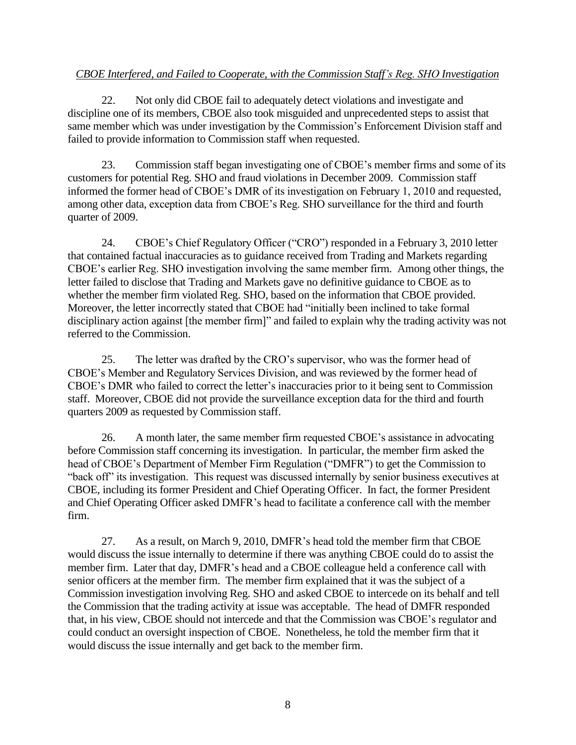# *CBOE Interfered, and Failed to Cooperate, with the Commission Staff's Reg. SHO Investigation*

22. Not only did CBOE fail to adequately detect violations and investigate and discipline one of its members, CBOE also took misguided and unprecedented steps to assist that same member which was under investigation by the Commission's Enforcement Division staff and failed to provide information to Commission staff when requested.

23. Commission staff began investigating one of CBOE's member firms and some of its customers for potential Reg. SHO and fraud violations in December 2009. Commission staff informed the former head of CBOE's DMR of its investigation on February 1, 2010 and requested, among other data, exception data from CBOE's Reg. SHO surveillance for the third and fourth quarter of 2009.

24. CBOE's Chief Regulatory Officer ("CRO") responded in a February 3, 2010 letter that contained factual inaccuracies as to guidance received from Trading and Markets regarding CBOE's earlier Reg. SHO investigation involving the same member firm. Among other things, the letter failed to disclose that Trading and Markets gave no definitive guidance to CBOE as to whether the member firm violated Reg. SHO, based on the information that CBOE provided. Moreover, the letter incorrectly stated that CBOE had "initially been inclined to take formal disciplinary action against [the member firm]" and failed to explain why the trading activity was not referred to the Commission.

25. The letter was drafted by the CRO's supervisor, who was the former head of CBOE's Member and Regulatory Services Division, and was reviewed by the former head of CBOE's DMR who failed to correct the letter's inaccuracies prior to it being sent to Commission staff. Moreover, CBOE did not provide the surveillance exception data for the third and fourth quarters 2009 as requested by Commission staff.

26. A month later, the same member firm requested CBOE's assistance in advocating before Commission staff concerning its investigation. In particular, the member firm asked the head of CBOE's Department of Member Firm Regulation ("DMFR") to get the Commission to "back off" its investigation. This request was discussed internally by senior business executives at CBOE, including its former President and Chief Operating Officer. In fact, the former President and Chief Operating Officer asked DMFR's head to facilitate a conference call with the member firm.

27. As a result, on March 9, 2010, DMFR's head told the member firm that CBOE would discuss the issue internally to determine if there was anything CBOE could do to assist the member firm. Later that day, DMFR's head and a CBOE colleague held a conference call with senior officers at the member firm. The member firm explained that it was the subject of a Commission investigation involving Reg. SHO and asked CBOE to intercede on its behalf and tell the Commission that the trading activity at issue was acceptable. The head of DMFR responded that, in his view, CBOE should not intercede and that the Commission was CBOE's regulator and could conduct an oversight inspection of CBOE. Nonetheless, he told the member firm that it would discuss the issue internally and get back to the member firm.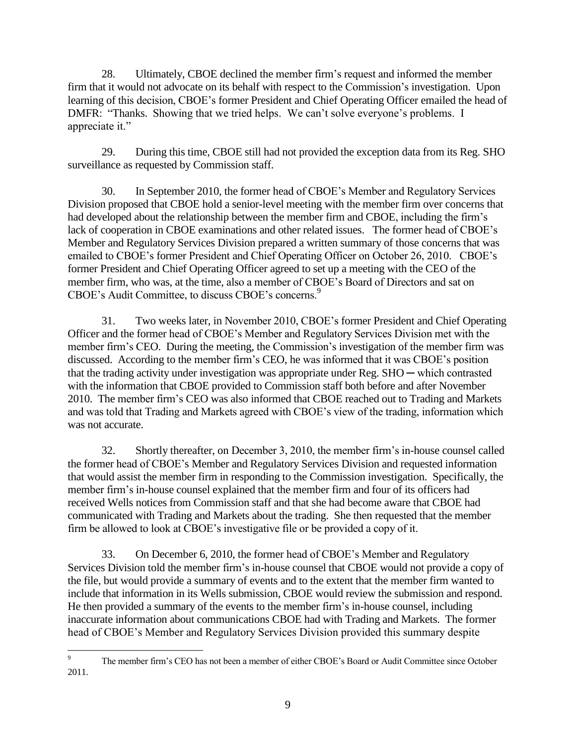28. Ultimately, CBOE declined the member firm's request and informed the member firm that it would not advocate on its behalf with respect to the Commission's investigation. Upon learning of this decision, CBOE's former President and Chief Operating Officer emailed the head of DMFR: "Thanks. Showing that we tried helps. We can't solve everyone's problems. I appreciate it."

29. During this time, CBOE still had not provided the exception data from its Reg. SHO surveillance as requested by Commission staff.

30. In September 2010, the former head of CBOE's Member and Regulatory Services Division proposed that CBOE hold a senior-level meeting with the member firm over concerns that had developed about the relationship between the member firm and CBOE, including the firm's lack of cooperation in CBOE examinations and other related issues. The former head of CBOE's Member and Regulatory Services Division prepared a written summary of those concerns that was emailed to CBOE's former President and Chief Operating Officer on October 26, 2010. CBOE's former President and Chief Operating Officer agreed to set up a meeting with the CEO of the member firm, who was, at the time, also a member of CBOE's Board of Directors and sat on CBOE's Audit Committee, to discuss CBOE's concerns.<sup>9</sup>

31. Two weeks later, in November 2010, CBOE's former President and Chief Operating Officer and the former head of CBOE's Member and Regulatory Services Division met with the member firm's CEO. During the meeting, the Commission's investigation of the member firm was discussed. According to the member firm's CEO, he was informed that it was CBOE's position that the trading activity under investigation was appropriate under Reg.  $SHO$  — which contrasted with the information that CBOE provided to Commission staff both before and after November 2010. The member firm's CEO was also informed that CBOE reached out to Trading and Markets and was told that Trading and Markets agreed with CBOE's view of the trading, information which was not accurate.

32. Shortly thereafter, on December 3, 2010, the member firm's in-house counsel called the former head of CBOE's Member and Regulatory Services Division and requested information that would assist the member firm in responding to the Commission investigation. Specifically, the member firm's in-house counsel explained that the member firm and four of its officers had received Wells notices from Commission staff and that she had become aware that CBOE had communicated with Trading and Markets about the trading. She then requested that the member firm be allowed to look at CBOE's investigative file or be provided a copy of it.

33. On December 6, 2010, the former head of CBOE's Member and Regulatory Services Division told the member firm's in-house counsel that CBOE would not provide a copy of the file, but would provide a summary of events and to the extent that the member firm wanted to include that information in its Wells submission, CBOE would review the submission and respond. He then provided a summary of the events to the member firm's in-house counsel, including inaccurate information about communications CBOE had with Trading and Markets. The former head of CBOE's Member and Regulatory Services Division provided this summary despite

 $\overline{9}$ The member firm's CEO has not been a member of either CBOE's Board or Audit Committee since October 2011.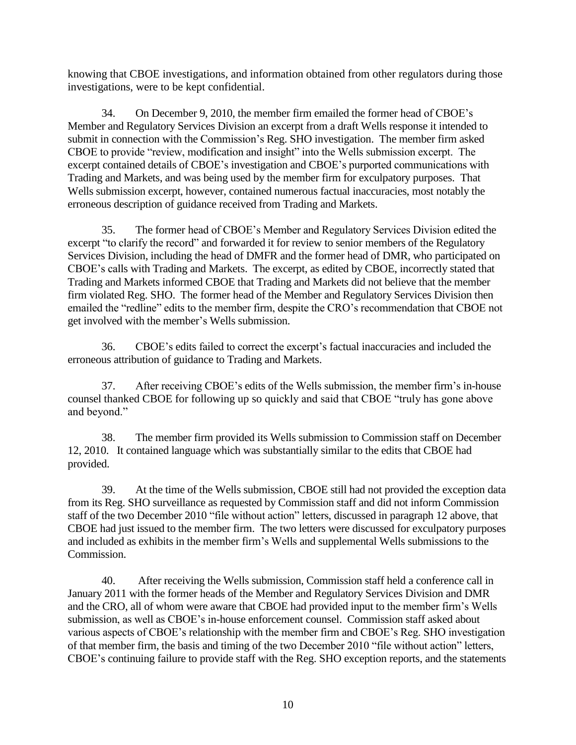knowing that CBOE investigations, and information obtained from other regulators during those investigations, were to be kept confidential.

34. On December 9, 2010, the member firm emailed the former head of CBOE's Member and Regulatory Services Division an excerpt from a draft Wells response it intended to submit in connection with the Commission's Reg. SHO investigation. The member firm asked CBOE to provide "review, modification and insight" into the Wells submission excerpt. The excerpt contained details of CBOE's investigation and CBOE's purported communications with Trading and Markets, and was being used by the member firm for exculpatory purposes. That Wells submission excerpt, however, contained numerous factual inaccuracies, most notably the erroneous description of guidance received from Trading and Markets.

35. The former head of CBOE's Member and Regulatory Services Division edited the excerpt "to clarify the record" and forwarded it for review to senior members of the Regulatory Services Division, including the head of DMFR and the former head of DMR, who participated on CBOE's calls with Trading and Markets. The excerpt, as edited by CBOE, incorrectly stated that Trading and Markets informed CBOE that Trading and Markets did not believe that the member firm violated Reg. SHO. The former head of the Member and Regulatory Services Division then emailed the "redline" edits to the member firm, despite the CRO's recommendation that CBOE not get involved with the member's Wells submission.

36. CBOE's edits failed to correct the excerpt's factual inaccuracies and included the erroneous attribution of guidance to Trading and Markets.

37. After receiving CBOE's edits of the Wells submission, the member firm's in-house counsel thanked CBOE for following up so quickly and said that CBOE "truly has gone above and beyond."

38. The member firm provided its Wells submission to Commission staff on December 12, 2010. It contained language which was substantially similar to the edits that CBOE had provided.

39. At the time of the Wells submission, CBOE still had not provided the exception data from its Reg. SHO surveillance as requested by Commission staff and did not inform Commission staff of the two December 2010 "file without action" letters, discussed in paragraph 12 above, that CBOE had just issued to the member firm. The two letters were discussed for exculpatory purposes and included as exhibits in the member firm's Wells and supplemental Wells submissions to the Commission.

40. After receiving the Wells submission, Commission staff held a conference call in January 2011 with the former heads of the Member and Regulatory Services Division and DMR and the CRO, all of whom were aware that CBOE had provided input to the member firm's Wells submission, as well as CBOE's in-house enforcement counsel. Commission staff asked about various aspects of CBOE's relationship with the member firm and CBOE's Reg. SHO investigation of that member firm, the basis and timing of the two December 2010 "file without action" letters, CBOE's continuing failure to provide staff with the Reg. SHO exception reports, and the statements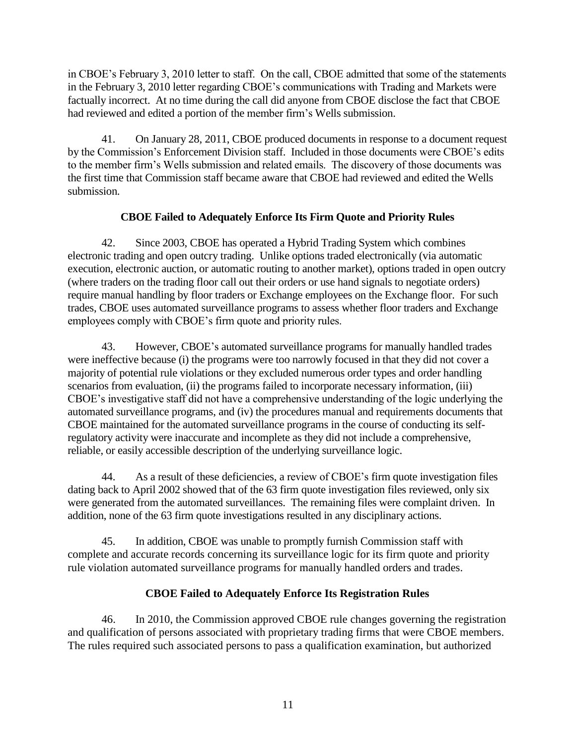in CBOE's February 3, 2010 letter to staff. On the call, CBOE admitted that some of the statements in the February 3, 2010 letter regarding CBOE's communications with Trading and Markets were factually incorrect. At no time during the call did anyone from CBOE disclose the fact that CBOE had reviewed and edited a portion of the member firm's Wells submission.

41. On January 28, 2011, CBOE produced documents in response to a document request by the Commission's Enforcement Division staff. Included in those documents were CBOE's edits to the member firm's Wells submission and related emails. The discovery of those documents was the first time that Commission staff became aware that CBOE had reviewed and edited the Wells submission.

# **CBOE Failed to Adequately Enforce Its Firm Quote and Priority Rules**

42. Since 2003, CBOE has operated a Hybrid Trading System which combines electronic trading and open outcry trading. Unlike options traded electronically (via automatic execution, electronic auction, or automatic routing to another market), options traded in open outcry (where traders on the trading floor call out their orders or use hand signals to negotiate orders) require manual handling by floor traders or Exchange employees on the Exchange floor. For such trades, CBOE uses automated surveillance programs to assess whether floor traders and Exchange employees comply with CBOE's firm quote and priority rules.

43. However, CBOE's automated surveillance programs for manually handled trades were ineffective because (i) the programs were too narrowly focused in that they did not cover a majority of potential rule violations or they excluded numerous order types and order handling scenarios from evaluation, (ii) the programs failed to incorporate necessary information, (iii) CBOE's investigative staff did not have a comprehensive understanding of the logic underlying the automated surveillance programs, and (iv) the procedures manual and requirements documents that CBOE maintained for the automated surveillance programs in the course of conducting its selfregulatory activity were inaccurate and incomplete as they did not include a comprehensive, reliable, or easily accessible description of the underlying surveillance logic.

44. As a result of these deficiencies, a review of CBOE's firm quote investigation files dating back to April 2002 showed that of the 63 firm quote investigation files reviewed, only six were generated from the automated surveillances. The remaining files were complaint driven. In addition, none of the 63 firm quote investigations resulted in any disciplinary actions.

45. In addition, CBOE was unable to promptly furnish Commission staff with complete and accurate records concerning its surveillance logic for its firm quote and priority rule violation automated surveillance programs for manually handled orders and trades.

# **CBOE Failed to Adequately Enforce Its Registration Rules**

46. In 2010, the Commission approved CBOE rule changes governing the registration and qualification of persons associated with proprietary trading firms that were CBOE members. The rules required such associated persons to pass a qualification examination, but authorized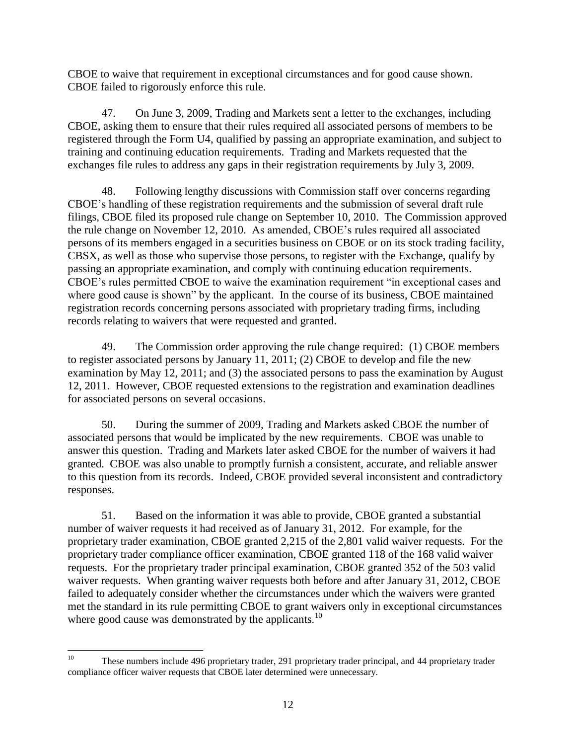CBOE to waive that requirement in exceptional circumstances and for good cause shown. CBOE failed to rigorously enforce this rule.

47. On June 3, 2009, Trading and Markets sent a letter to the exchanges, including CBOE, asking them to ensure that their rules required all associated persons of members to be registered through the Form U4, qualified by passing an appropriate examination, and subject to training and continuing education requirements. Trading and Markets requested that the exchanges file rules to address any gaps in their registration requirements by July 3, 2009.

48. Following lengthy discussions with Commission staff over concerns regarding CBOE's handling of these registration requirements and the submission of several draft rule filings, CBOE filed its proposed rule change on September 10, 2010. The Commission approved the rule change on November 12, 2010. As amended, CBOE's rules required all associated persons of its members engaged in a securities business on CBOE or on its stock trading facility, CBSX, as well as those who supervise those persons, to register with the Exchange, qualify by passing an appropriate examination, and comply with continuing education requirements. CBOE's rules permitted CBOE to waive the examination requirement "in exceptional cases and where good cause is shown" by the applicant. In the course of its business, CBOE maintained registration records concerning persons associated with proprietary trading firms, including records relating to waivers that were requested and granted.

49. The Commission order approving the rule change required: (1) CBOE members to register associated persons by January 11, 2011; (2) CBOE to develop and file the new examination by May 12, 2011; and (3) the associated persons to pass the examination by August 12, 2011. However, CBOE requested extensions to the registration and examination deadlines for associated persons on several occasions.

50. During the summer of 2009, Trading and Markets asked CBOE the number of associated persons that would be implicated by the new requirements. CBOE was unable to answer this question. Trading and Markets later asked CBOE for the number of waivers it had granted. CBOE was also unable to promptly furnish a consistent, accurate, and reliable answer to this question from its records. Indeed, CBOE provided several inconsistent and contradictory responses.

51. Based on the information it was able to provide, CBOE granted a substantial number of waiver requests it had received as of January 31, 2012. For example, for the proprietary trader examination, CBOE granted 2,215 of the 2,801 valid waiver requests. For the proprietary trader compliance officer examination, CBOE granted 118 of the 168 valid waiver requests. For the proprietary trader principal examination, CBOE granted 352 of the 503 valid waiver requests. When granting waiver requests both before and after January 31, 2012, CBOE failed to adequately consider whether the circumstances under which the waivers were granted met the standard in its rule permitting CBOE to grant waivers only in exceptional circumstances where good cause was demonstrated by the applicants. $10$ 

 $10<sup>10</sup>$ These numbers include 496 proprietary trader, 291 proprietary trader principal, and 44 proprietary trader compliance officer waiver requests that CBOE later determined were unnecessary.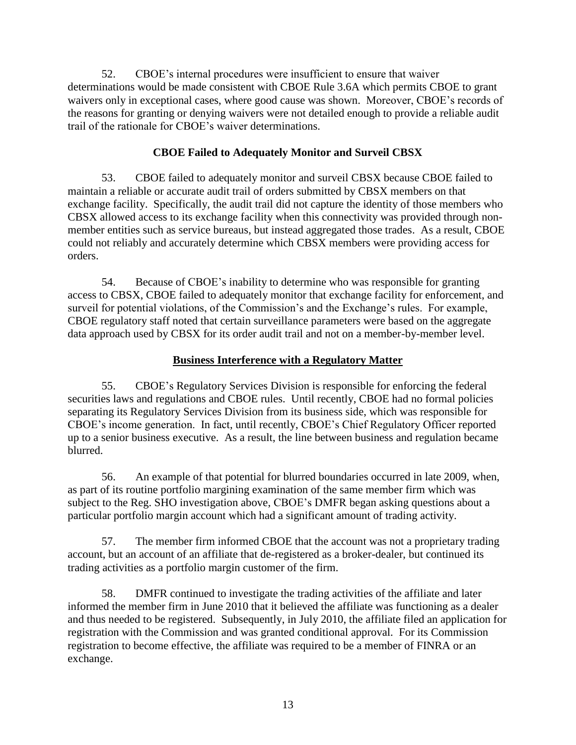52. CBOE's internal procedures were insufficient to ensure that waiver determinations would be made consistent with CBOE Rule 3.6A which permits CBOE to grant waivers only in exceptional cases, where good cause was shown. Moreover, CBOE's records of the reasons for granting or denying waivers were not detailed enough to provide a reliable audit trail of the rationale for CBOE's waiver determinations.

# **CBOE Failed to Adequately Monitor and Surveil CBSX**

53. CBOE failed to adequately monitor and surveil CBSX because CBOE failed to maintain a reliable or accurate audit trail of orders submitted by CBSX members on that exchange facility. Specifically, the audit trail did not capture the identity of those members who CBSX allowed access to its exchange facility when this connectivity was provided through nonmember entities such as service bureaus, but instead aggregated those trades. As a result, CBOE could not reliably and accurately determine which CBSX members were providing access for orders.

54. Because of CBOE's inability to determine who was responsible for granting access to CBSX, CBOE failed to adequately monitor that exchange facility for enforcement, and surveil for potential violations, of the Commission's and the Exchange's rules. For example, CBOE regulatory staff noted that certain surveillance parameters were based on the aggregate data approach used by CBSX for its order audit trail and not on a member-by-member level.

### **Business Interference with a Regulatory Matter**

55. CBOE's Regulatory Services Division is responsible for enforcing the federal securities laws and regulations and CBOE rules. Until recently, CBOE had no formal policies separating its Regulatory Services Division from its business side, which was responsible for CBOE's income generation. In fact, until recently, CBOE's Chief Regulatory Officer reported up to a senior business executive. As a result, the line between business and regulation became blurred.

56. An example of that potential for blurred boundaries occurred in late 2009, when, as part of its routine portfolio margining examination of the same member firm which was subject to the Reg. SHO investigation above, CBOE's DMFR began asking questions about a particular portfolio margin account which had a significant amount of trading activity.

57. The member firm informed CBOE that the account was not a proprietary trading account, but an account of an affiliate that de-registered as a broker-dealer, but continued its trading activities as a portfolio margin customer of the firm.

58. DMFR continued to investigate the trading activities of the affiliate and later informed the member firm in June 2010 that it believed the affiliate was functioning as a dealer and thus needed to be registered. Subsequently, in July 2010, the affiliate filed an application for registration with the Commission and was granted conditional approval. For its Commission registration to become effective, the affiliate was required to be a member of FINRA or an exchange.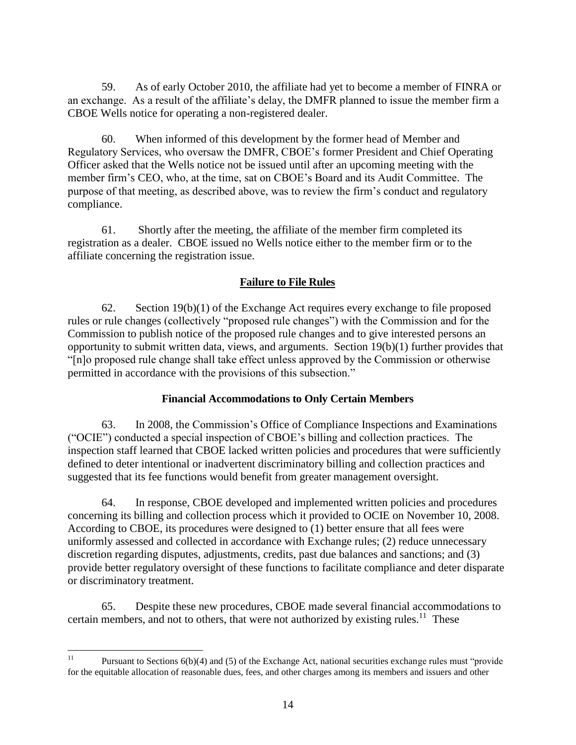59. As of early October 2010, the affiliate had yet to become a member of FINRA or an exchange. As a result of the affiliate's delay, the DMFR planned to issue the member firm a CBOE Wells notice for operating a non-registered dealer.

60. When informed of this development by the former head of Member and Regulatory Services, who oversaw the DMFR, CBOE's former President and Chief Operating Officer asked that the Wells notice not be issued until after an upcoming meeting with the member firm's CEO, who, at the time, sat on CBOE's Board and its Audit Committee. The purpose of that meeting, as described above, was to review the firm's conduct and regulatory compliance.

61. Shortly after the meeting, the affiliate of the member firm completed its registration as a dealer. CBOE issued no Wells notice either to the member firm or to the affiliate concerning the registration issue.

### **Failure to File Rules**

62. Section  $19(b)(1)$  of the Exchange Act requires every exchange to file proposed rules or rule changes (collectively "proposed rule changes") with the Commission and for the Commission to publish notice of the proposed rule changes and to give interested persons an opportunity to submit written data, views, and arguments. Section 19(b)(1) further provides that "[n]o proposed rule change shall take effect unless approved by the Commission or otherwise permitted in accordance with the provisions of this subsection."

#### **Financial Accommodations to Only Certain Members**

63. In 2008, the Commission's Office of Compliance Inspections and Examinations ("OCIE") conducted a special inspection of CBOE's billing and collection practices. The inspection staff learned that CBOE lacked written policies and procedures that were sufficiently defined to deter intentional or inadvertent discriminatory billing and collection practices and suggested that its fee functions would benefit from greater management oversight.

64. In response, CBOE developed and implemented written policies and procedures concerning its billing and collection process which it provided to OCIE on November 10, 2008. According to CBOE, its procedures were designed to (1) better ensure that all fees were uniformly assessed and collected in accordance with Exchange rules; (2) reduce unnecessary discretion regarding disputes, adjustments, credits, past due balances and sanctions; and (3) provide better regulatory oversight of these functions to facilitate compliance and deter disparate or discriminatory treatment.

65. Despite these new procedures, CBOE made several financial accommodations to certain members, and not to others, that were not authorized by existing rules. $11$  These

 $11$ <sup>11</sup> Pursuant to Sections 6(b)(4) and (5) of the Exchange Act, national securities exchange rules must "provide for the equitable allocation of reasonable dues, fees, and other charges among its members and issuers and other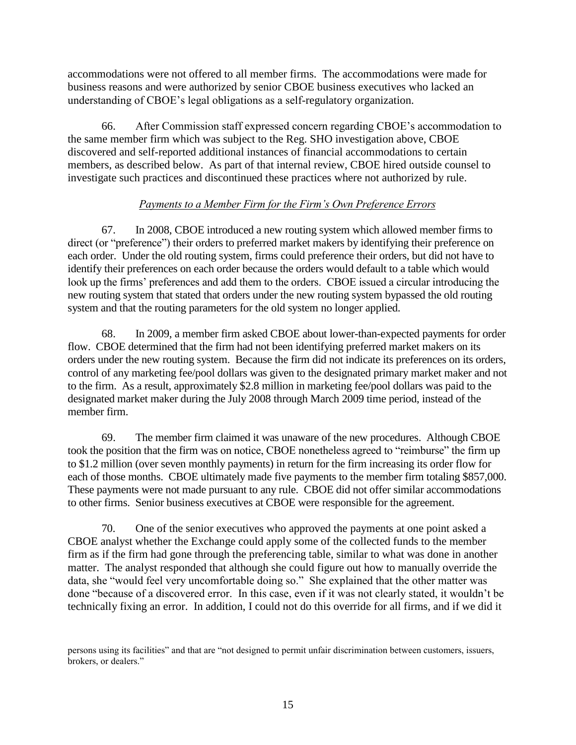accommodations were not offered to all member firms. The accommodations were made for business reasons and were authorized by senior CBOE business executives who lacked an understanding of CBOE's legal obligations as a self-regulatory organization.

66. After Commission staff expressed concern regarding CBOE's accommodation to the same member firm which was subject to the Reg. SHO investigation above, CBOE discovered and self-reported additional instances of financial accommodations to certain members, as described below. As part of that internal review, CBOE hired outside counsel to investigate such practices and discontinued these practices where not authorized by rule.

# *Payments to a Member Firm for the Firm's Own Preference Errors*

67. In 2008, CBOE introduced a new routing system which allowed member firms to direct (or "preference") their orders to preferred market makers by identifying their preference on each order. Under the old routing system, firms could preference their orders, but did not have to identify their preferences on each order because the orders would default to a table which would look up the firms' preferences and add them to the orders. CBOE issued a circular introducing the new routing system that stated that orders under the new routing system bypassed the old routing system and that the routing parameters for the old system no longer applied.

68. In 2009, a member firm asked CBOE about lower-than-expected payments for order flow. CBOE determined that the firm had not been identifying preferred market makers on its orders under the new routing system. Because the firm did not indicate its preferences on its orders, control of any marketing fee/pool dollars was given to the designated primary market maker and not to the firm. As a result, approximately \$2.8 million in marketing fee/pool dollars was paid to the designated market maker during the July 2008 through March 2009 time period, instead of the member firm.

69. The member firm claimed it was unaware of the new procedures. Although CBOE took the position that the firm was on notice, CBOE nonetheless agreed to "reimburse" the firm up to \$1.2 million (over seven monthly payments) in return for the firm increasing its order flow for each of those months. CBOE ultimately made five payments to the member firm totaling \$857,000. These payments were not made pursuant to any rule. CBOE did not offer similar accommodations to other firms. Senior business executives at CBOE were responsible for the agreement.

70. One of the senior executives who approved the payments at one point asked a CBOE analyst whether the Exchange could apply some of the collected funds to the member firm as if the firm had gone through the preferencing table, similar to what was done in another matter. The analyst responded that although she could figure out how to manually override the data, she "would feel very uncomfortable doing so." She explained that the other matter was done "because of a discovered error. In this case, even if it was not clearly stated, it wouldn't be technically fixing an error. In addition, I could not do this override for all firms, and if we did it

persons using its facilities" and that are "not designed to permit unfair discrimination between customers, issuers, brokers, or dealers."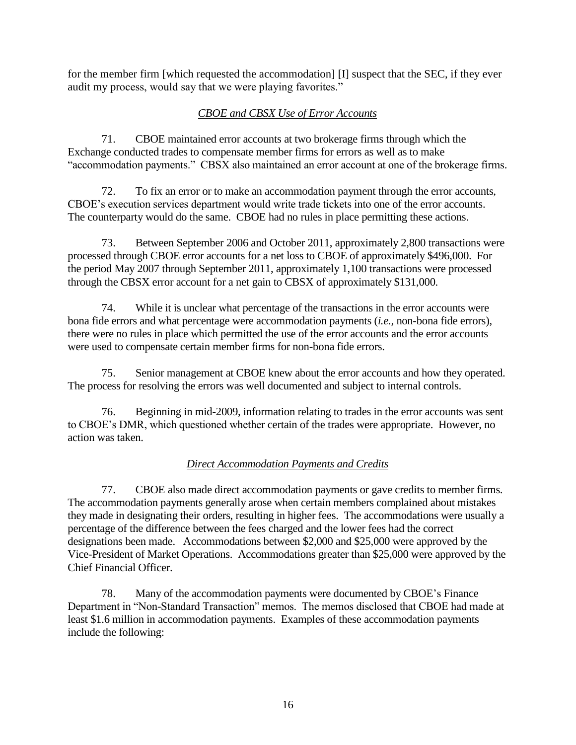for the member firm [which requested the accommodation] [I] suspect that the SEC, if they ever audit my process, would say that we were playing favorites."

# *CBOE and CBSX Use of Error Accounts*

71. CBOE maintained error accounts at two brokerage firms through which the Exchange conducted trades to compensate member firms for errors as well as to make "accommodation payments." CBSX also maintained an error account at one of the brokerage firms.

72. To fix an error or to make an accommodation payment through the error accounts, CBOE's execution services department would write trade tickets into one of the error accounts. The counterparty would do the same. CBOE had no rules in place permitting these actions.

73. Between September 2006 and October 2011, approximately 2,800 transactions were processed through CBOE error accounts for a net loss to CBOE of approximately \$496,000. For the period May 2007 through September 2011, approximately 1,100 transactions were processed through the CBSX error account for a net gain to CBSX of approximately \$131,000.

74. While it is unclear what percentage of the transactions in the error accounts were bona fide errors and what percentage were accommodation payments (*i.e.,* non-bona fide errors), there were no rules in place which permitted the use of the error accounts and the error accounts were used to compensate certain member firms for non-bona fide errors.

75. Senior management at CBOE knew about the error accounts and how they operated. The process for resolving the errors was well documented and subject to internal controls.

76. Beginning in mid-2009, information relating to trades in the error accounts was sent to CBOE's DMR, which questioned whether certain of the trades were appropriate. However, no action was taken.

# *Direct Accommodation Payments and Credits*

77. CBOE also made direct accommodation payments or gave credits to member firms. The accommodation payments generally arose when certain members complained about mistakes they made in designating their orders, resulting in higher fees. The accommodations were usually a percentage of the difference between the fees charged and the lower fees had the correct designations been made. Accommodations between \$2,000 and \$25,000 were approved by the Vice-President of Market Operations. Accommodations greater than \$25,000 were approved by the Chief Financial Officer.

78. Many of the accommodation payments were documented by CBOE's Finance Department in "Non-Standard Transaction" memos. The memos disclosed that CBOE had made at least \$1.6 million in accommodation payments. Examples of these accommodation payments include the following: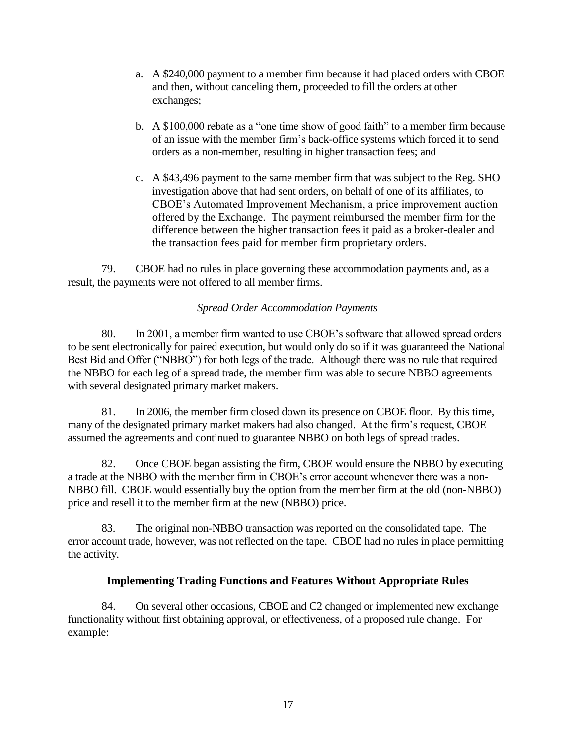- a. A \$240,000 payment to a member firm because it had placed orders with CBOE and then, without canceling them, proceeded to fill the orders at other exchanges;
- b. A \$100,000 rebate as a "one time show of good faith" to a member firm because of an issue with the member firm's back-office systems which forced it to send orders as a non-member, resulting in higher transaction fees; and
- c. A \$43,496 payment to the same member firm that was subject to the Reg. SHO investigation above that had sent orders, on behalf of one of its affiliates, to CBOE's Automated Improvement Mechanism, a price improvement auction offered by the Exchange. The payment reimbursed the member firm for the difference between the higher transaction fees it paid as a broker-dealer and the transaction fees paid for member firm proprietary orders.

79. CBOE had no rules in place governing these accommodation payments and, as a result, the payments were not offered to all member firms.

# *Spread Order Accommodation Payments*

80. In 2001, a member firm wanted to use CBOE's software that allowed spread orders to be sent electronically for paired execution, but would only do so if it was guaranteed the National Best Bid and Offer ("NBBO") for both legs of the trade. Although there was no rule that required the NBBO for each leg of a spread trade, the member firm was able to secure NBBO agreements with several designated primary market makers.

81. In 2006, the member firm closed down its presence on CBOE floor. By this time, many of the designated primary market makers had also changed. At the firm's request, CBOE assumed the agreements and continued to guarantee NBBO on both legs of spread trades.

82. Once CBOE began assisting the firm, CBOE would ensure the NBBO by executing a trade at the NBBO with the member firm in CBOE's error account whenever there was a non-NBBO fill. CBOE would essentially buy the option from the member firm at the old (non-NBBO) price and resell it to the member firm at the new (NBBO) price.

83. The original non-NBBO transaction was reported on the consolidated tape. The error account trade, however, was not reflected on the tape. CBOE had no rules in place permitting the activity.

# **Implementing Trading Functions and Features Without Appropriate Rules**

84. On several other occasions, CBOE and C2 changed or implemented new exchange functionality without first obtaining approval, or effectiveness, of a proposed rule change. For example: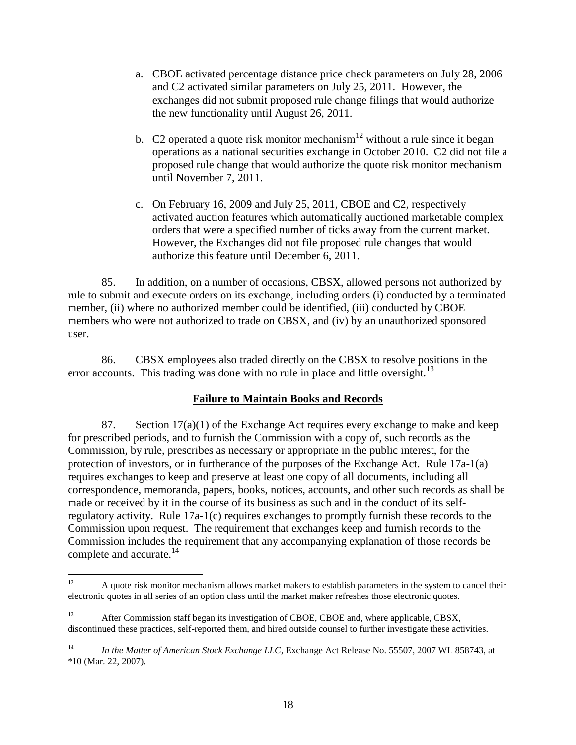- a. CBOE activated percentage distance price check parameters on July 28, 2006 and C2 activated similar parameters on July 25, 2011. However, the exchanges did not submit proposed rule change filings that would authorize the new functionality until August 26, 2011.
- b. C2 operated a quote risk monitor mechanism<sup>12</sup> without a rule since it began operations as a national securities exchange in October 2010. C2 did not file a proposed rule change that would authorize the quote risk monitor mechanism until November 7, 2011.
- c. On February 16, 2009 and July 25, 2011, CBOE and C2, respectively activated auction features which automatically auctioned marketable complex orders that were a specified number of ticks away from the current market. However, the Exchanges did not file proposed rule changes that would authorize this feature until December 6, 2011.

85. In addition, on a number of occasions, CBSX, allowed persons not authorized by rule to submit and execute orders on its exchange, including orders (i) conducted by a terminated member, (ii) where no authorized member could be identified, (iii) conducted by CBOE members who were not authorized to trade on CBSX, and (iv) by an unauthorized sponsored user.

86. CBSX employees also traded directly on the CBSX to resolve positions in the error accounts. This trading was done with no rule in place and little oversight.<sup>13</sup>

# **Failure to Maintain Books and Records**

87. Section  $17(a)(1)$  of the Exchange Act requires every exchange to make and keep for prescribed periods, and to furnish the Commission with a copy of, such records as the Commission, by rule, prescribes as necessary or appropriate in the public interest, for the protection of investors, or in furtherance of the purposes of the Exchange Act. Rule 17a-1(a) requires exchanges to keep and preserve at least one copy of all documents, including all correspondence, memoranda, papers, books, notices, accounts, and other such records as shall be made or received by it in the course of its business as such and in the conduct of its selfregulatory activity. Rule 17a-1(c) requires exchanges to promptly furnish these records to the Commission upon request. The requirement that exchanges keep and furnish records to the Commission includes the requirement that any accompanying explanation of those records be complete and accurate.<sup>14</sup>

 $12$ <sup>12</sup> A quote risk monitor mechanism allows market makers to establish parameters in the system to cancel their electronic quotes in all series of an option class until the market maker refreshes those electronic quotes.

<sup>13</sup> <sup>13</sup> After Commission staff began its investigation of CBOE, CBOE and, where applicable, CBSX, discontinued these practices, self-reported them, and hired outside counsel to further investigate these activities.

<sup>&</sup>lt;sup>14</sup> *In the Matter of American Stock Exchange LLC*, Exchange Act Release No. 55507, 2007 WL 858743, at \*10 (Mar. 22, 2007).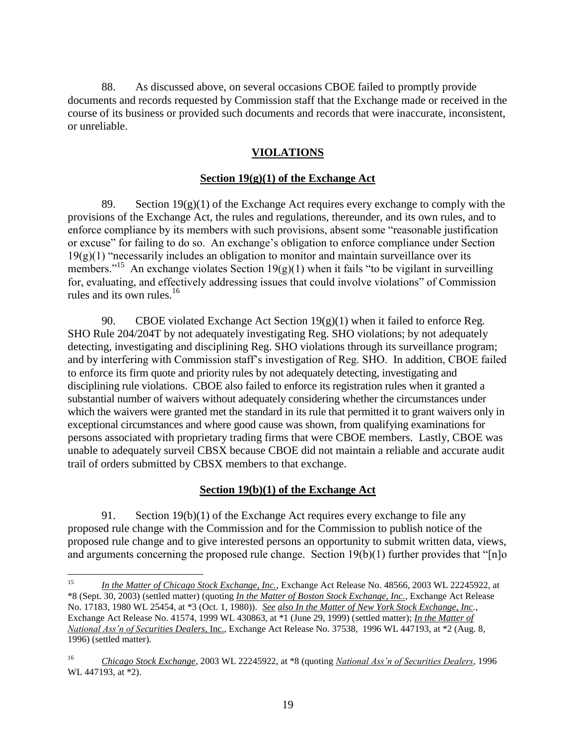88. As discussed above, on several occasions CBOE failed to promptly provide documents and records requested by Commission staff that the Exchange made or received in the course of its business or provided such documents and records that were inaccurate, inconsistent, or unreliable.

# **VIOLATIONS**

# **Section 19(g)(1) of the Exchange Act**

89. Section  $19(g)(1)$  of the Exchange Act requires every exchange to comply with the provisions of the Exchange Act, the rules and regulations, thereunder, and its own rules, and to enforce compliance by its members with such provisions, absent some "reasonable justification or excuse" for failing to do so. An exchange's obligation to enforce compliance under Section  $19(g)(1)$  "necessarily includes an obligation to monitor and maintain surveillance over its members."<sup>15</sup> An exchange violates Section  $19(g)(1)$  when it fails "to be vigilant in surveilling for, evaluating, and effectively addressing issues that could involve violations" of Commission rules and its own rules.<sup>16</sup>

90. CBOE violated Exchange Act Section  $19(g)(1)$  when it failed to enforce Reg. SHO Rule 204/204T by not adequately investigating Reg. SHO violations; by not adequately detecting, investigating and disciplining Reg. SHO violations through its surveillance program; and by interfering with Commission staff's investigation of Reg. SHO. In addition, CBOE failed to enforce its firm quote and priority rules by not adequately detecting, investigating and disciplining rule violations. CBOE also failed to enforce its registration rules when it granted a substantial number of waivers without adequately considering whether the circumstances under which the waivers were granted met the standard in its rule that permitted it to grant waivers only in exceptional circumstances and where good cause was shown, from qualifying examinations for persons associated with proprietary trading firms that were CBOE members. Lastly, CBOE was unable to adequately surveil CBSX because CBOE did not maintain a reliable and accurate audit trail of orders submitted by CBSX members to that exchange.

# **Section 19(b)(1) of the Exchange Act**

91. Section  $19(b)(1)$  of the Exchange Act requires every exchange to file any proposed rule change with the Commission and for the Commission to publish notice of the proposed rule change and to give interested persons an opportunity to submit written data, views, and arguments concerning the proposed rule change. Section 19(b)(1) further provides that "[n]o

 $15$ <sup>15</sup> *In the Matter of Chicago Stock Exchange, Inc.*, Exchange Act Release No. 48566, 2003 WL 22245922, at \*8 (Sept. 30, 2003) (settled matter) (quoting *In the Matter of Boston Stock Exchange, Inc.*, Exchange Act Release No. 17183, 1980 WL 25454, at \*3 (Oct. 1, 1980)). *See also In the Matter of New York Stock Exchange, Inc.*, Exchange Act Release No. 41574, 1999 WL 430863, at \*1 (June 29, 1999) (settled matter); *In the Matter of National Ass'n of Securities Dealers*, Inc., Exchange Act Release No. 37538, 1996 WL 447193, at \*2 (Aug. 8, 1996) (settled matter).

<sup>16</sup> *Chicago Stock Exchange*, 2003 WL 22245922, at \*8 (quoting *National Ass'n of Securities Dealers*, 1996 WL 447193, at \*2).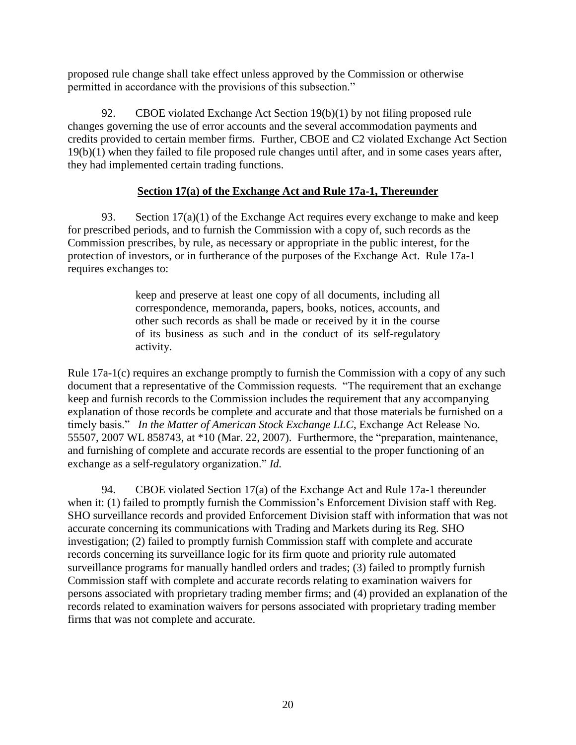proposed rule change shall take effect unless approved by the Commission or otherwise permitted in accordance with the provisions of this subsection."

92. CBOE violated Exchange Act Section 19(b)(1) by not filing proposed rule changes governing the use of error accounts and the several accommodation payments and credits provided to certain member firms. Further, CBOE and C2 violated Exchange Act Section 19(b)(1) when they failed to file proposed rule changes until after, and in some cases years after, they had implemented certain trading functions.

# **Section 17(a) of the Exchange Act and Rule 17a-1, Thereunder**

93. Section  $17(a)(1)$  of the Exchange Act requires every exchange to make and keep for prescribed periods, and to furnish the Commission with a copy of, such records as the Commission prescribes, by rule, as necessary or appropriate in the public interest, for the protection of investors, or in furtherance of the purposes of the Exchange Act. Rule 17a-1 requires exchanges to:

> keep and preserve at least one copy of all documents, including all correspondence, memoranda, papers, books, notices, accounts, and other such records as shall be made or received by it in the course of its business as such and in the conduct of its self-regulatory activity.

Rule 17a-1(c) requires an exchange promptly to furnish the Commission with a copy of any such document that a representative of the Commission requests. "The requirement that an exchange keep and furnish records to the Commission includes the requirement that any accompanying explanation of those records be complete and accurate and that those materials be furnished on a timely basis." *In the Matter of American Stock Exchange LLC*, Exchange Act Release No. 55507, 2007 WL 858743, at \*10 (Mar. 22, 2007). Furthermore, the "preparation, maintenance, and furnishing of complete and accurate records are essential to the proper functioning of an exchange as a self-regulatory organization." *Id.*

94. CBOE violated Section 17(a) of the Exchange Act and Rule 17a-1 thereunder when it: (1) failed to promptly furnish the Commission's Enforcement Division staff with Reg. SHO surveillance records and provided Enforcement Division staff with information that was not accurate concerning its communications with Trading and Markets during its Reg. SHO investigation; (2) failed to promptly furnish Commission staff with complete and accurate records concerning its surveillance logic for its firm quote and priority rule automated surveillance programs for manually handled orders and trades; (3) failed to promptly furnish Commission staff with complete and accurate records relating to examination waivers for persons associated with proprietary trading member firms; and (4) provided an explanation of the records related to examination waivers for persons associated with proprietary trading member firms that was not complete and accurate.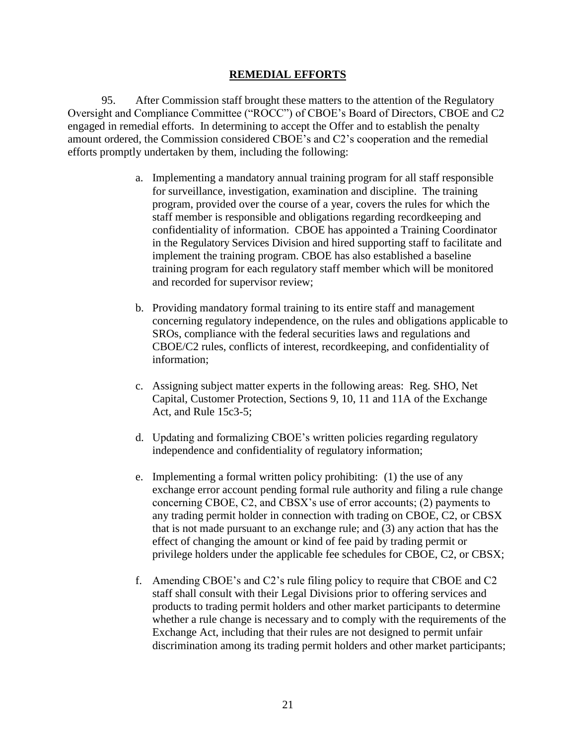#### **REMEDIAL EFFORTS**

95. After Commission staff brought these matters to the attention of the Regulatory Oversight and Compliance Committee ("ROCC") of CBOE's Board of Directors, CBOE and C2 engaged in remedial efforts. In determining to accept the Offer and to establish the penalty amount ordered, the Commission considered CBOE's and C2's cooperation and the remedial efforts promptly undertaken by them, including the following:

- a. Implementing a mandatory annual training program for all staff responsible for surveillance, investigation, examination and discipline. The training program, provided over the course of a year, covers the rules for which the staff member is responsible and obligations regarding recordkeeping and confidentiality of information. CBOE has appointed a Training Coordinator in the Regulatory Services Division and hired supporting staff to facilitate and implement the training program. CBOE has also established a baseline training program for each regulatory staff member which will be monitored and recorded for supervisor review;
- b. Providing mandatory formal training to its entire staff and management concerning regulatory independence, on the rules and obligations applicable to SROs, compliance with the federal securities laws and regulations and CBOE/C2 rules, conflicts of interest, recordkeeping, and confidentiality of information;
- c. Assigning subject matter experts in the following areas: Reg. SHO, Net Capital, Customer Protection, Sections 9, 10, 11 and 11A of the Exchange Act, and Rule 15c3-5;
- d. Updating and formalizing CBOE's written policies regarding regulatory independence and confidentiality of regulatory information;
- e. Implementing a formal written policy prohibiting: (1) the use of any exchange error account pending formal rule authority and filing a rule change concerning CBOE, C2, and CBSX's use of error accounts; (2) payments to any trading permit holder in connection with trading on CBOE, C2, or CBSX that is not made pursuant to an exchange rule; and (3) any action that has the effect of changing the amount or kind of fee paid by trading permit or privilege holders under the applicable fee schedules for CBOE, C2, or CBSX;
- f. Amending CBOE's and C2's rule filing policy to require that CBOE and C2 staff shall consult with their Legal Divisions prior to offering services and products to trading permit holders and other market participants to determine whether a rule change is necessary and to comply with the requirements of the Exchange Act, including that their rules are not designed to permit unfair discrimination among its trading permit holders and other market participants;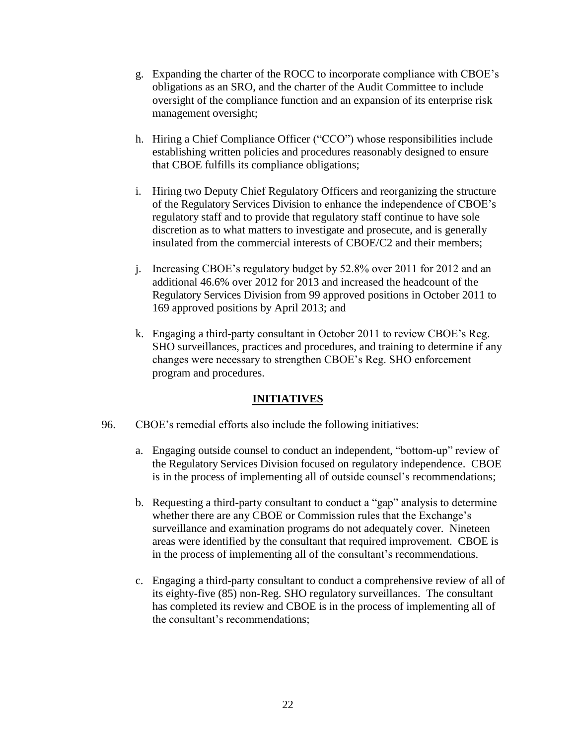- g. Expanding the charter of the ROCC to incorporate compliance with CBOE's obligations as an SRO, and the charter of the Audit Committee to include oversight of the compliance function and an expansion of its enterprise risk management oversight;
- h. Hiring a Chief Compliance Officer ("CCO") whose responsibilities include establishing written policies and procedures reasonably designed to ensure that CBOE fulfills its compliance obligations;
- i. Hiring two Deputy Chief Regulatory Officers and reorganizing the structure of the Regulatory Services Division to enhance the independence of CBOE's regulatory staff and to provide that regulatory staff continue to have sole discretion as to what matters to investigate and prosecute, and is generally insulated from the commercial interests of CBOE/C2 and their members;
- j. Increasing CBOE's regulatory budget by 52.8% over 2011 for 2012 and an additional 46.6% over 2012 for 2013 and increased the headcount of the Regulatory Services Division from 99 approved positions in October 2011 to 169 approved positions by April 2013; and
- k. Engaging a third-party consultant in October 2011 to review CBOE's Reg. SHO surveillances, practices and procedures, and training to determine if any changes were necessary to strengthen CBOE's Reg. SHO enforcement program and procedures.

#### **INITIATIVES**

- 96. CBOE's remedial efforts also include the following initiatives:
	- a. Engaging outside counsel to conduct an independent, "bottom-up" review of the Regulatory Services Division focused on regulatory independence. CBOE is in the process of implementing all of outside counsel's recommendations;
	- b. Requesting a third-party consultant to conduct a "gap" analysis to determine whether there are any CBOE or Commission rules that the Exchange's surveillance and examination programs do not adequately cover. Nineteen areas were identified by the consultant that required improvement. CBOE is in the process of implementing all of the consultant's recommendations.
	- c. Engaging a third-party consultant to conduct a comprehensive review of all of its eighty-five (85) non-Reg. SHO regulatory surveillances. The consultant has completed its review and CBOE is in the process of implementing all of the consultant's recommendations;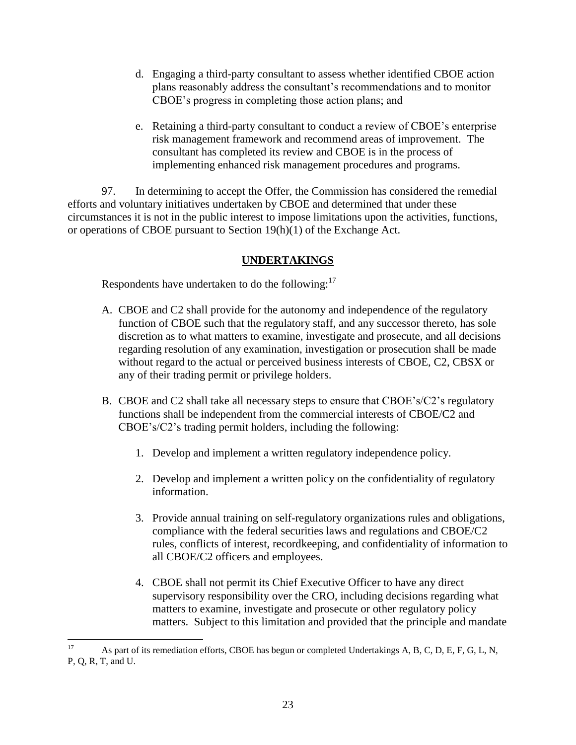- d. Engaging a third-party consultant to assess whether identified CBOE action plans reasonably address the consultant's recommendations and to monitor CBOE's progress in completing those action plans; and
- e. Retaining a third-party consultant to conduct a review of CBOE's enterprise risk management framework and recommend areas of improvement. The consultant has completed its review and CBOE is in the process of implementing enhanced risk management procedures and programs.

97. In determining to accept the Offer, the Commission has considered the remedial efforts and voluntary initiatives undertaken by CBOE and determined that under these circumstances it is not in the public interest to impose limitations upon the activities, functions, or operations of CBOE pursuant to Section 19(h)(1) of the Exchange Act.

# **UNDERTAKINGS**

Respondents have undertaken to do the following: $17$ 

- A. CBOE and C2 shall provide for the autonomy and independence of the regulatory function of CBOE such that the regulatory staff, and any successor thereto, has sole discretion as to what matters to examine, investigate and prosecute, and all decisions regarding resolution of any examination, investigation or prosecution shall be made without regard to the actual or perceived business interests of CBOE, C2, CBSX or any of their trading permit or privilege holders.
- B. CBOE and C2 shall take all necessary steps to ensure that CBOE's/C2's regulatory functions shall be independent from the commercial interests of CBOE/C2 and CBOE's/C2's trading permit holders, including the following:
	- 1. Develop and implement a written regulatory independence policy.
	- 2. Develop and implement a written policy on the confidentiality of regulatory information.
	- 3. Provide annual training on self-regulatory organizations rules and obligations, compliance with the federal securities laws and regulations and CBOE/C2 rules, conflicts of interest, recordkeeping, and confidentiality of information to all CBOE/C2 officers and employees.
	- 4. CBOE shall not permit its Chief Executive Officer to have any direct supervisory responsibility over the CRO, including decisions regarding what matters to examine, investigate and prosecute or other regulatory policy matters. Subject to this limitation and provided that the principle and mandate

<sup>17</sup> As part of its remediation efforts, CBOE has begun or completed Undertakings A, B, C, D, E, F, G, L, N, P, Q, R, T, and U.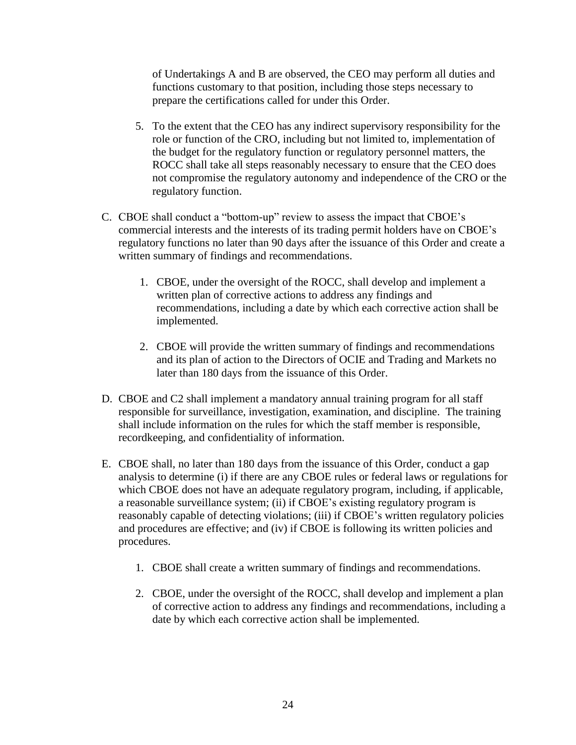of Undertakings A and B are observed, the CEO may perform all duties and functions customary to that position, including those steps necessary to prepare the certifications called for under this Order.

- 5. To the extent that the CEO has any indirect supervisory responsibility for the role or function of the CRO, including but not limited to, implementation of the budget for the regulatory function or regulatory personnel matters, the ROCC shall take all steps reasonably necessary to ensure that the CEO does not compromise the regulatory autonomy and independence of the CRO or the regulatory function.
- C. CBOE shall conduct a "bottom-up" review to assess the impact that CBOE's commercial interests and the interests of its trading permit holders have on CBOE's regulatory functions no later than 90 days after the issuance of this Order and create a written summary of findings and recommendations.
	- 1. CBOE, under the oversight of the ROCC, shall develop and implement a written plan of corrective actions to address any findings and recommendations, including a date by which each corrective action shall be implemented.
	- 2. CBOE will provide the written summary of findings and recommendations and its plan of action to the Directors of OCIE and Trading and Markets no later than 180 days from the issuance of this Order.
- D. CBOE and C2 shall implement a mandatory annual training program for all staff responsible for surveillance, investigation, examination, and discipline. The training shall include information on the rules for which the staff member is responsible, recordkeeping, and confidentiality of information.
- E. CBOE shall, no later than 180 days from the issuance of this Order, conduct a gap analysis to determine (i) if there are any CBOE rules or federal laws or regulations for which CBOE does not have an adequate regulatory program, including, if applicable, a reasonable surveillance system; (ii) if CBOE's existing regulatory program is reasonably capable of detecting violations; (iii) if CBOE's written regulatory policies and procedures are effective; and (iv) if CBOE is following its written policies and procedures.
	- 1. CBOE shall create a written summary of findings and recommendations.
	- 2. CBOE, under the oversight of the ROCC, shall develop and implement a plan of corrective action to address any findings and recommendations, including a date by which each corrective action shall be implemented.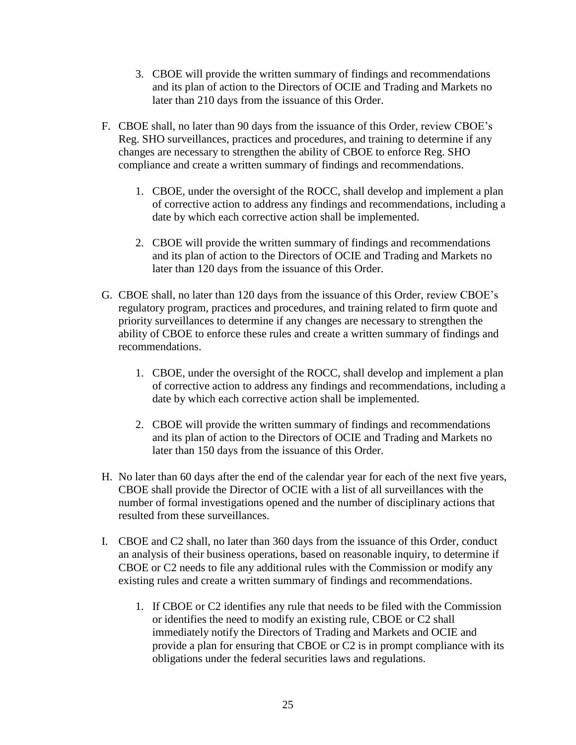- 3. CBOE will provide the written summary of findings and recommendations and its plan of action to the Directors of OCIE and Trading and Markets no later than 210 days from the issuance of this Order.
- F. CBOE shall, no later than 90 days from the issuance of this Order, review CBOE's Reg. SHO surveillances, practices and procedures, and training to determine if any changes are necessary to strengthen the ability of CBOE to enforce Reg. SHO compliance and create a written summary of findings and recommendations.
	- 1. CBOE, under the oversight of the ROCC, shall develop and implement a plan of corrective action to address any findings and recommendations, including a date by which each corrective action shall be implemented.
	- 2. CBOE will provide the written summary of findings and recommendations and its plan of action to the Directors of OCIE and Trading and Markets no later than 120 days from the issuance of this Order.
- G. CBOE shall, no later than 120 days from the issuance of this Order, review CBOE's regulatory program, practices and procedures, and training related to firm quote and priority surveillances to determine if any changes are necessary to strengthen the ability of CBOE to enforce these rules and create a written summary of findings and recommendations.
	- 1. CBOE, under the oversight of the ROCC, shall develop and implement a plan of corrective action to address any findings and recommendations, including a date by which each corrective action shall be implemented.
	- 2. CBOE will provide the written summary of findings and recommendations and its plan of action to the Directors of OCIE and Trading and Markets no later than 150 days from the issuance of this Order.
- H. No later than 60 days after the end of the calendar year for each of the next five years, CBOE shall provide the Director of OCIE with a list of all surveillances with the number of formal investigations opened and the number of disciplinary actions that resulted from these surveillances.
- I. CBOE and C2 shall, no later than 360 days from the issuance of this Order, conduct an analysis of their business operations, based on reasonable inquiry, to determine if CBOE or C2 needs to file any additional rules with the Commission or modify any existing rules and create a written summary of findings and recommendations.
	- 1. If CBOE or C2 identifies any rule that needs to be filed with the Commission or identifies the need to modify an existing rule, CBOE or C2 shall immediately notify the Directors of Trading and Markets and OCIE and provide a plan for ensuring that CBOE or C2 is in prompt compliance with its obligations under the federal securities laws and regulations.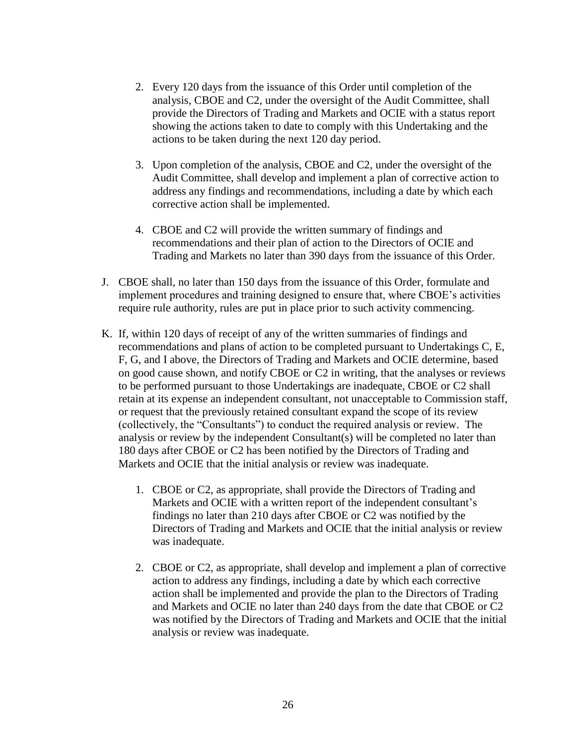- 2. Every 120 days from the issuance of this Order until completion of the analysis, CBOE and C2, under the oversight of the Audit Committee, shall provide the Directors of Trading and Markets and OCIE with a status report showing the actions taken to date to comply with this Undertaking and the actions to be taken during the next 120 day period.
- 3. Upon completion of the analysis, CBOE and C2, under the oversight of the Audit Committee, shall develop and implement a plan of corrective action to address any findings and recommendations, including a date by which each corrective action shall be implemented.
- 4. CBOE and C2 will provide the written summary of findings and recommendations and their plan of action to the Directors of OCIE and Trading and Markets no later than 390 days from the issuance of this Order.
- J. CBOE shall, no later than 150 days from the issuance of this Order, formulate and implement procedures and training designed to ensure that, where CBOE's activities require rule authority, rules are put in place prior to such activity commencing.
- K. If, within 120 days of receipt of any of the written summaries of findings and recommendations and plans of action to be completed pursuant to Undertakings C, E, F, G, and I above, the Directors of Trading and Markets and OCIE determine, based on good cause shown, and notify CBOE or C2 in writing, that the analyses or reviews to be performed pursuant to those Undertakings are inadequate, CBOE or C2 shall retain at its expense an independent consultant, not unacceptable to Commission staff, or request that the previously retained consultant expand the scope of its review (collectively, the "Consultants") to conduct the required analysis or review. The analysis or review by the independent Consultant(s) will be completed no later than 180 days after CBOE or C2 has been notified by the Directors of Trading and Markets and OCIE that the initial analysis or review was inadequate.
	- 1. CBOE or C2, as appropriate, shall provide the Directors of Trading and Markets and OCIE with a written report of the independent consultant's findings no later than 210 days after CBOE or C2 was notified by the Directors of Trading and Markets and OCIE that the initial analysis or review was inadequate.
	- 2. CBOE or C2, as appropriate, shall develop and implement a plan of corrective action to address any findings, including a date by which each corrective action shall be implemented and provide the plan to the Directors of Trading and Markets and OCIE no later than 240 days from the date that CBOE or C2 was notified by the Directors of Trading and Markets and OCIE that the initial analysis or review was inadequate.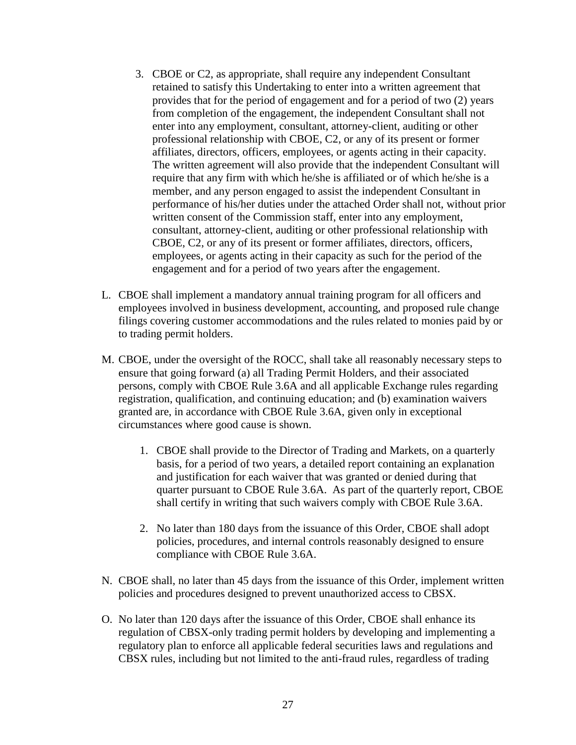- 3. CBOE or C2, as appropriate, shall require any independent Consultant retained to satisfy this Undertaking to enter into a written agreement that provides that for the period of engagement and for a period of two (2) years from completion of the engagement, the independent Consultant shall not enter into any employment, consultant, attorney-client, auditing or other professional relationship with CBOE, C2, or any of its present or former affiliates, directors, officers, employees, or agents acting in their capacity. The written agreement will also provide that the independent Consultant will require that any firm with which he/she is affiliated or of which he/she is a member, and any person engaged to assist the independent Consultant in performance of his/her duties under the attached Order shall not, without prior written consent of the Commission staff, enter into any employment, consultant, attorney-client, auditing or other professional relationship with CBOE, C2, or any of its present or former affiliates, directors, officers, employees, or agents acting in their capacity as such for the period of the engagement and for a period of two years after the engagement.
- L. CBOE shall implement a mandatory annual training program for all officers and employees involved in business development, accounting, and proposed rule change filings covering customer accommodations and the rules related to monies paid by or to trading permit holders.
- M. CBOE, under the oversight of the ROCC, shall take all reasonably necessary steps to ensure that going forward (a) all Trading Permit Holders, and their associated persons, comply with CBOE Rule 3.6A and all applicable Exchange rules regarding registration, qualification, and continuing education; and (b) examination waivers granted are, in accordance with CBOE Rule 3.6A, given only in exceptional circumstances where good cause is shown.
	- 1. CBOE shall provide to the Director of Trading and Markets, on a quarterly basis, for a period of two years, a detailed report containing an explanation and justification for each waiver that was granted or denied during that quarter pursuant to CBOE Rule 3.6A. As part of the quarterly report, CBOE shall certify in writing that such waivers comply with CBOE Rule 3.6A.
	- 2. No later than 180 days from the issuance of this Order, CBOE shall adopt policies, procedures, and internal controls reasonably designed to ensure compliance with CBOE Rule 3.6A.
- N. CBOE shall, no later than 45 days from the issuance of this Order, implement written policies and procedures designed to prevent unauthorized access to CBSX.
- O. No later than 120 days after the issuance of this Order, CBOE shall enhance its regulation of CBSX-only trading permit holders by developing and implementing a regulatory plan to enforce all applicable federal securities laws and regulations and CBSX rules, including but not limited to the anti-fraud rules, regardless of trading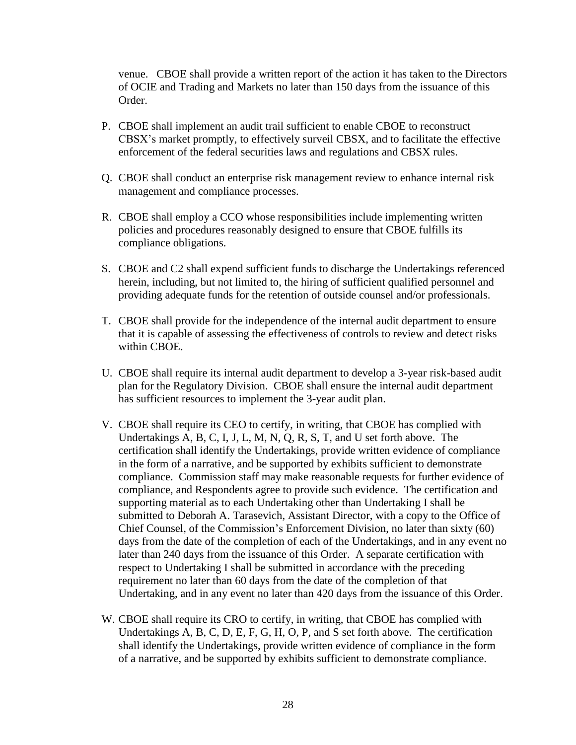venue. CBOE shall provide a written report of the action it has taken to the Directors of OCIE and Trading and Markets no later than 150 days from the issuance of this Order.

- P. CBOE shall implement an audit trail sufficient to enable CBOE to reconstruct CBSX's market promptly, to effectively surveil CBSX, and to facilitate the effective enforcement of the federal securities laws and regulations and CBSX rules.
- Q. CBOE shall conduct an enterprise risk management review to enhance internal risk management and compliance processes.
- R. CBOE shall employ a CCO whose responsibilities include implementing written policies and procedures reasonably designed to ensure that CBOE fulfills its compliance obligations.
- S. CBOE and C2 shall expend sufficient funds to discharge the Undertakings referenced herein, including, but not limited to, the hiring of sufficient qualified personnel and providing adequate funds for the retention of outside counsel and/or professionals.
- T. CBOE shall provide for the independence of the internal audit department to ensure that it is capable of assessing the effectiveness of controls to review and detect risks within CBOE.
- U. CBOE shall require its internal audit department to develop a 3-year risk-based audit plan for the Regulatory Division. CBOE shall ensure the internal audit department has sufficient resources to implement the 3-year audit plan.
- V. CBOE shall require its CEO to certify, in writing, that CBOE has complied with Undertakings A, B, C, I, J, L, M, N, Q, R, S, T, and U set forth above. The certification shall identify the Undertakings, provide written evidence of compliance in the form of a narrative, and be supported by exhibits sufficient to demonstrate compliance. Commission staff may make reasonable requests for further evidence of compliance, and Respondents agree to provide such evidence. The certification and supporting material as to each Undertaking other than Undertaking I shall be submitted to Deborah A. Tarasevich, Assistant Director, with a copy to the Office of Chief Counsel, of the Commission's Enforcement Division, no later than sixty (60) days from the date of the completion of each of the Undertakings, and in any event no later than 240 days from the issuance of this Order. A separate certification with respect to Undertaking I shall be submitted in accordance with the preceding requirement no later than 60 days from the date of the completion of that Undertaking, and in any event no later than 420 days from the issuance of this Order.
- W. CBOE shall require its CRO to certify, in writing, that CBOE has complied with Undertakings A, B, C, D, E, F, G, H, O, P, and S set forth above. The certification shall identify the Undertakings, provide written evidence of compliance in the form of a narrative, and be supported by exhibits sufficient to demonstrate compliance.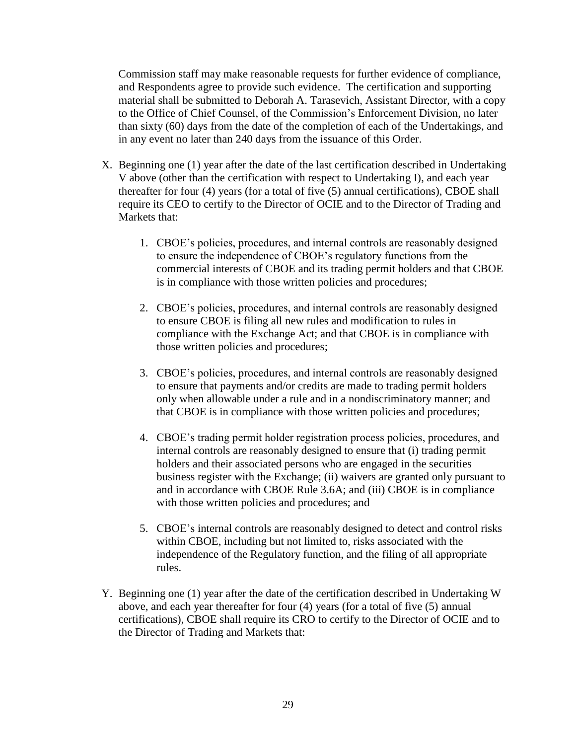Commission staff may make reasonable requests for further evidence of compliance, and Respondents agree to provide such evidence. The certification and supporting material shall be submitted to Deborah A. Tarasevich, Assistant Director, with a copy to the Office of Chief Counsel, of the Commission's Enforcement Division, no later than sixty (60) days from the date of the completion of each of the Undertakings, and in any event no later than 240 days from the issuance of this Order.

- X. Beginning one (1) year after the date of the last certification described in Undertaking V above (other than the certification with respect to Undertaking I), and each year thereafter for four (4) years (for a total of five (5) annual certifications), CBOE shall require its CEO to certify to the Director of OCIE and to the Director of Trading and Markets that:
	- 1. CBOE's policies, procedures, and internal controls are reasonably designed to ensure the independence of CBOE's regulatory functions from the commercial interests of CBOE and its trading permit holders and that CBOE is in compliance with those written policies and procedures;
	- 2. CBOE's policies, procedures, and internal controls are reasonably designed to ensure CBOE is filing all new rules and modification to rules in compliance with the Exchange Act; and that CBOE is in compliance with those written policies and procedures;
	- 3. CBOE's policies, procedures, and internal controls are reasonably designed to ensure that payments and/or credits are made to trading permit holders only when allowable under a rule and in a nondiscriminatory manner; and that CBOE is in compliance with those written policies and procedures;
	- 4. CBOE's trading permit holder registration process policies, procedures, and internal controls are reasonably designed to ensure that (i) trading permit holders and their associated persons who are engaged in the securities business register with the Exchange; (ii) waivers are granted only pursuant to and in accordance with CBOE Rule 3.6A; and (iii) CBOE is in compliance with those written policies and procedures; and
	- 5. CBOE's internal controls are reasonably designed to detect and control risks within CBOE, including but not limited to, risks associated with the independence of the Regulatory function, and the filing of all appropriate rules.
- Y. Beginning one (1) year after the date of the certification described in Undertaking W above, and each year thereafter for four (4) years (for a total of five (5) annual certifications), CBOE shall require its CRO to certify to the Director of OCIE and to the Director of Trading and Markets that: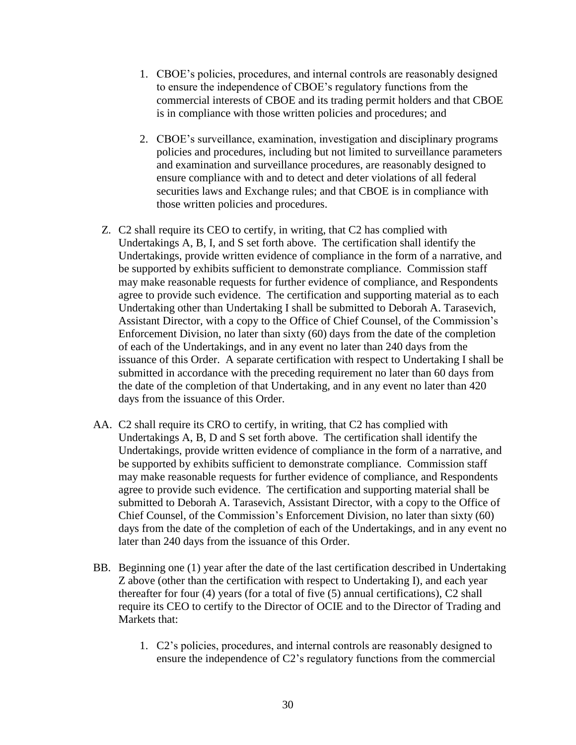- 1. CBOE's policies, procedures, and internal controls are reasonably designed to ensure the independence of CBOE's regulatory functions from the commercial interests of CBOE and its trading permit holders and that CBOE is in compliance with those written policies and procedures; and
- 2. CBOE's surveillance, examination, investigation and disciplinary programs policies and procedures, including but not limited to surveillance parameters and examination and surveillance procedures, are reasonably designed to ensure compliance with and to detect and deter violations of all federal securities laws and Exchange rules; and that CBOE is in compliance with those written policies and procedures.
- Z. C2 shall require its CEO to certify, in writing, that C2 has complied with Undertakings A, B, I, and S set forth above. The certification shall identify the Undertakings, provide written evidence of compliance in the form of a narrative, and be supported by exhibits sufficient to demonstrate compliance. Commission staff may make reasonable requests for further evidence of compliance, and Respondents agree to provide such evidence. The certification and supporting material as to each Undertaking other than Undertaking I shall be submitted to Deborah A. Tarasevich, Assistant Director, with a copy to the Office of Chief Counsel, of the Commission's Enforcement Division, no later than sixty (60) days from the date of the completion of each of the Undertakings, and in any event no later than 240 days from the issuance of this Order. A separate certification with respect to Undertaking I shall be submitted in accordance with the preceding requirement no later than 60 days from the date of the completion of that Undertaking, and in any event no later than 420 days from the issuance of this Order.
- AA. C2 shall require its CRO to certify, in writing, that C2 has complied with Undertakings A, B, D and S set forth above. The certification shall identify the Undertakings, provide written evidence of compliance in the form of a narrative, and be supported by exhibits sufficient to demonstrate compliance. Commission staff may make reasonable requests for further evidence of compliance, and Respondents agree to provide such evidence. The certification and supporting material shall be submitted to Deborah A. Tarasevich, Assistant Director, with a copy to the Office of Chief Counsel, of the Commission's Enforcement Division, no later than sixty (60) days from the date of the completion of each of the Undertakings, and in any event no later than 240 days from the issuance of this Order.
- BB. Beginning one (1) year after the date of the last certification described in Undertaking Z above (other than the certification with respect to Undertaking I), and each year thereafter for four (4) years (for a total of five (5) annual certifications), C2 shall require its CEO to certify to the Director of OCIE and to the Director of Trading and Markets that:
	- 1. C2's policies, procedures, and internal controls are reasonably designed to ensure the independence of C2's regulatory functions from the commercial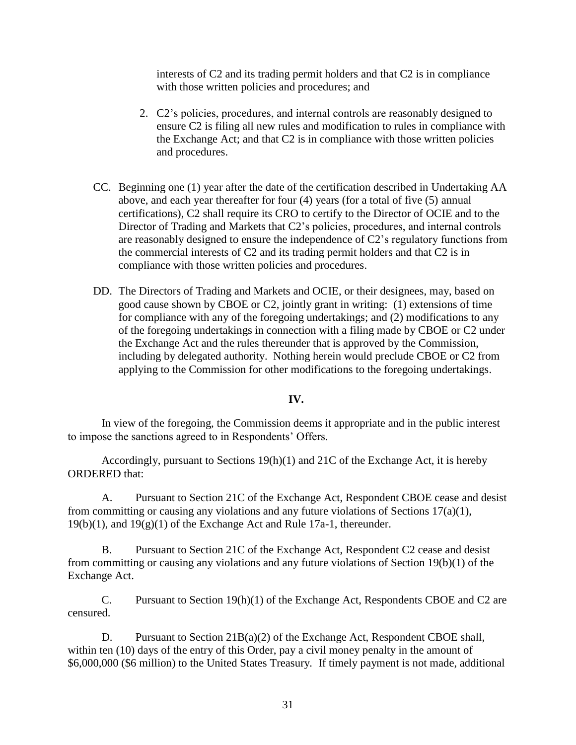interests of C2 and its trading permit holders and that C2 is in compliance with those written policies and procedures; and

- 2. C2's policies, procedures, and internal controls are reasonably designed to ensure C2 is filing all new rules and modification to rules in compliance with the Exchange Act; and that C2 is in compliance with those written policies and procedures.
- CC. Beginning one (1) year after the date of the certification described in Undertaking AA above, and each year thereafter for four (4) years (for a total of five (5) annual certifications), C2 shall require its CRO to certify to the Director of OCIE and to the Director of Trading and Markets that C2's policies, procedures, and internal controls are reasonably designed to ensure the independence of C2's regulatory functions from the commercial interests of C2 and its trading permit holders and that C2 is in compliance with those written policies and procedures.
- DD. The Directors of Trading and Markets and OCIE, or their designees, may, based on good cause shown by CBOE or C2, jointly grant in writing: (1) extensions of time for compliance with any of the foregoing undertakings; and (2) modifications to any of the foregoing undertakings in connection with a filing made by CBOE or C2 under the Exchange Act and the rules thereunder that is approved by the Commission, including by delegated authority. Nothing herein would preclude CBOE or C2 from applying to the Commission for other modifications to the foregoing undertakings.

#### **IV.**

In view of the foregoing, the Commission deems it appropriate and in the public interest to impose the sanctions agreed to in Respondents' Offers.

Accordingly, pursuant to Sections 19(h)(1) and 21C of the Exchange Act, it is hereby ORDERED that:

A. Pursuant to Section 21C of the Exchange Act, Respondent CBOE cease and desist from committing or causing any violations and any future violations of Sections 17(a)(1),  $19(b)(1)$ , and  $19(g)(1)$  of the Exchange Act and Rule 17a-1, thereunder.

B. Pursuant to Section 21C of the Exchange Act, Respondent C2 cease and desist from committing or causing any violations and any future violations of Section 19(b)(1) of the Exchange Act.

C. Pursuant to Section 19(h)(1) of the Exchange Act, Respondents CBOE and C2 are censured.

D. Pursuant to Section 21B(a)(2) of the Exchange Act, Respondent CBOE shall, within ten (10) days of the entry of this Order, pay a civil money penalty in the amount of \$6,000,000 (\$6 million) to the United States Treasury*.* If timely payment is not made, additional